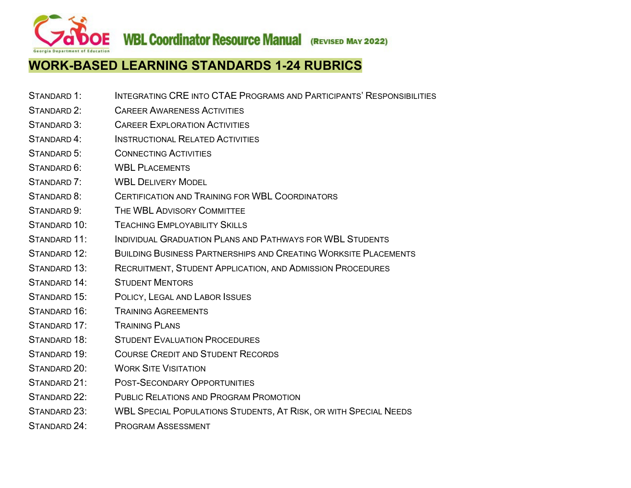**WBL Coordinator Resource Manual (REVISED MAY 2022)** 

# **WORK-BASED LEARNING STANDARDS 1-24 RUBRICS**

- STANDARD 1: INTEGRATING CRE INTO CTAE PROGRAMS AND PARTICIPANTS' RESPONSIBILITIES
- [STANDARD 2: CAREER AWARENESS ACTIVITIES](#page-2-0)
- [STANDARD 3: CAREER EXPLORATION ACTIVITIES](#page-3-0)
- [STANDARD 4: INSTRUCTIONAL RELATED ACTIVITIES](#page-4-0)
- [STANDARD 5: CONNECTING ACTIVITIES](#page-5-0)
- STANDARD 6: WBI PLACEMENTS
- [STANDARD 7: WBL](#page-7-0) DELIVERY MODEL
- [STANDARD 8: CERTIFICATION AND TRAINING FOR WBL](#page-8-0) COORDINATORS
- [STANDARD 9: THE WBL](#page-9-0) ADVISORY COMMITTEE
- [STANDARD 10: TEACHING EMPLOYABILITY SKILLS](#page-10-0)
- [STANDARD 11: INDIVIDUAL GRADUATION PLANS AND PATHWAYS FOR WBL](#page-11-0) STUDENTS
- [STANDARD 12: BUILDING BUSINESS PARTNERSHIPS AND CREATING WORKSITE PLACEMENTS](#page-11-0)
- [STANDARD 13: RECRUITMENT,](#page-13-0) STUDENT APPLICATION, AND ADMISSION PROCEDURES
- [STANDARD 14: STUDENT MENTORS](#page-14-0)
- [STANDARD 15: POLICY,](#page-15-0) LEGAL AND LABOR ISSUES
- [STANDARD 16: TRAINING AGREEMENTS](#page-16-0)
- [STANDARD 17: TRAINING PLANS](#page-17-0)
- [STANDARD 18: STUDENT EVALUATION PROCEDURES](#page-18-0)
- [STANDARD 19: COURSE CREDIT AND STUDENT RECORDS](#page-19-0)
- [STANDARD 20: WORK SITE VISITATION](#page-20-0)
- [STANDARD 21: POST-SECONDARY OPPORTUNITIES](#page-20-0)
- [STANDARD 22: PUBLIC RELATIONS AND PROGRAM PROMOTION](#page-22-0)
- [STANDARD 23: WBL](#page-22-0) SPECIAL POPULATIONS STUDENTS, AT RISK, OR WITH SPECIAL NEEDS
- [STANDARD 24: PROGRAM ASSESSMENT](#page-24-0)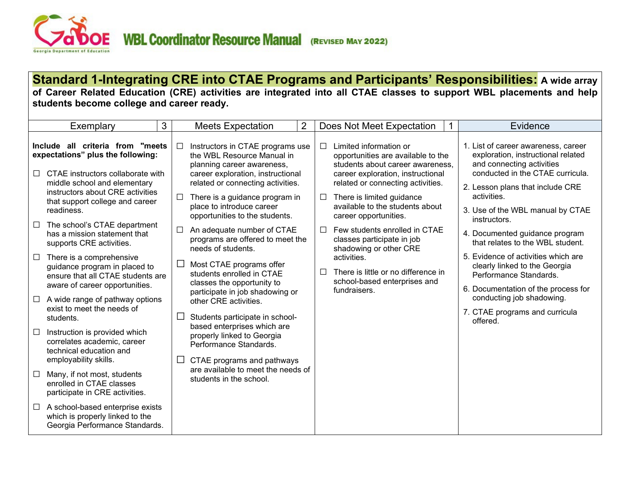

**Standard 1-Integrating CRE into CTAE Programs and Participants' Responsibilities: A wide array of Career Related Education (CRE) activities are integrated into all CTAE classes to support WBL placements and help students become college and career ready.**

|                                                                                                                      | Exemplary                                                                                                                        | 3      | <b>Meets Expectation</b>                                                                                                           | $\overline{2}$ |        | Does Not Meet Expectation                                                                                                             |  | Evidence                                                                                                                                   |
|----------------------------------------------------------------------------------------------------------------------|----------------------------------------------------------------------------------------------------------------------------------|--------|------------------------------------------------------------------------------------------------------------------------------------|----------------|--------|---------------------------------------------------------------------------------------------------------------------------------------|--|--------------------------------------------------------------------------------------------------------------------------------------------|
| Include all criteria from "meets<br>expectations" plus the following:<br>CTAE instructors collaborate with<br>$\Box$ |                                                                                                                                  | $\Box$ | Instructors in CTAE programs use<br>the WBL Resource Manual in<br>planning career awareness,<br>career exploration, instructional  |                | $\Box$ | Limited information or<br>opportunities are available to the<br>students about career awareness,<br>career exploration, instructional |  | 1. List of career awareness, career<br>exploration, instructional related<br>and connecting activities<br>conducted in the CTAE curricula. |
|                                                                                                                      | middle school and elementary<br>instructors about CRE activities<br>that support college and career<br>readiness.                | □      | related or connecting activities.<br>There is a guidance program in<br>place to introduce career<br>opportunities to the students. |                | ப      | related or connecting activities.<br>There is limited guidance<br>available to the students about<br>career opportunities.            |  | 2. Lesson plans that include CRE<br>activities.<br>3. Use of the WBL manual by CTAE<br>instructors.                                        |
| $\Box$                                                                                                               | The school's CTAE department<br>has a mission statement that<br>supports CRE activities.                                         | $\Box$ | An adequate number of CTAE<br>programs are offered to meet the<br>needs of students.                                               |                | $\Box$ | Few students enrolled in CTAE<br>classes participate in job<br>shadowing or other CRE                                                 |  | 4. Documented guidance program<br>that relates to the WBL student.                                                                         |
| $\Box$                                                                                                               | There is a comprehensive<br>guidance program in placed to<br>ensure that all CTAE students are<br>aware of career opportunities. | $\Box$ | Most CTAE programs offer<br>students enrolled in CTAE<br>classes the opportunity to                                                |                | $\Box$ | activities.<br>There is little or no difference in<br>school-based enterprises and                                                    |  | 5. Evidence of activities which are<br>clearly linked to the Georgia<br>Performance Standards.<br>6. Documentation of the process for      |
| $\Box$                                                                                                               | A wide range of pathway options<br>exist to meet the needs of<br>students.                                                       |        | participate in job shadowing or<br>other CRE activities.<br>Students participate in school-                                        |                |        | fundraisers.                                                                                                                          |  | conducting job shadowing.<br>7. CTAE programs and curricula<br>offered.                                                                    |
|                                                                                                                      | Instruction is provided which<br>correlates academic, career<br>technical education and<br>employability skills.                 |        | based enterprises which are<br>properly linked to Georgia<br>Performance Standards.<br>CTAE programs and pathways                  |                |        |                                                                                                                                       |  |                                                                                                                                            |
| $\Box$                                                                                                               | Many, if not most, students<br>enrolled in CTAE classes<br>participate in CRE activities.                                        |        | are available to meet the needs of<br>students in the school.                                                                      |                |        |                                                                                                                                       |  |                                                                                                                                            |
|                                                                                                                      | $\Box$ A school-based enterprise exists<br>which is properly linked to the<br>Georgia Performance Standards.                     |        |                                                                                                                                    |                |        |                                                                                                                                       |  |                                                                                                                                            |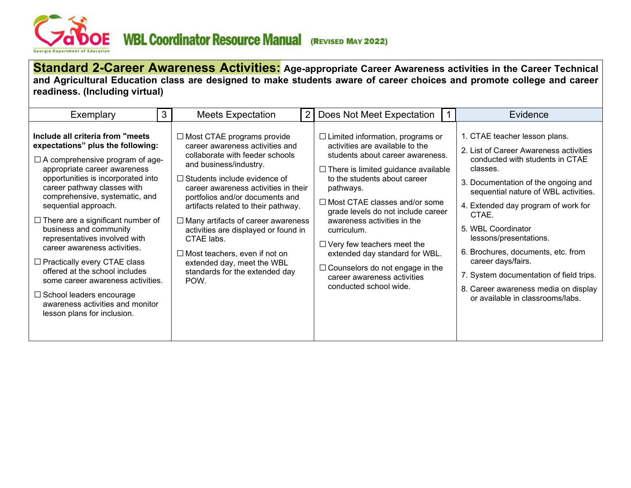<span id="page-2-0"></span>

**Standard 2-Career Awareness Activities: Age-appropriate Career Awareness activities in the Career Technical and Agricultural Education class are designed to make students aware of career choices and promote college and career readiness. (Including virtual)**

| 3<br>Exemplary                                                                                                                                                                                                                                                                                                                                                                                                                                                                                                                                                                                                                             | <b>Meets Expectation</b>                                                                                                                                                                                                                                                                                                                                                                                                                                                                                      | $\overline{2}$ | Does Not Meet Expectation                                                                                                                                                                                                                                                                                                                                                                                                                                                                                       | Evidence                                                                                                                                                                                                                                                                                                                                                                                                                                                                                 |
|--------------------------------------------------------------------------------------------------------------------------------------------------------------------------------------------------------------------------------------------------------------------------------------------------------------------------------------------------------------------------------------------------------------------------------------------------------------------------------------------------------------------------------------------------------------------------------------------------------------------------------------------|---------------------------------------------------------------------------------------------------------------------------------------------------------------------------------------------------------------------------------------------------------------------------------------------------------------------------------------------------------------------------------------------------------------------------------------------------------------------------------------------------------------|----------------|-----------------------------------------------------------------------------------------------------------------------------------------------------------------------------------------------------------------------------------------------------------------------------------------------------------------------------------------------------------------------------------------------------------------------------------------------------------------------------------------------------------------|------------------------------------------------------------------------------------------------------------------------------------------------------------------------------------------------------------------------------------------------------------------------------------------------------------------------------------------------------------------------------------------------------------------------------------------------------------------------------------------|
| Include all criteria from "meets"<br>expectations" plus the following:<br>$\Box$ A comprehensive program of age-<br>appropriate career awareness<br>opportunities is incorporated into<br>career pathway classes with<br>comprehensive, systematic, and<br>sequential approach.<br>$\Box$ There are a significant number of<br>business and community<br>representatives involved with<br>career awareness activities.<br>$\Box$ Practically every CTAE class<br>offered at the school includes<br>some career awareness activities.<br>$\Box$ School leaders encourage<br>awareness activities and monitor<br>lesson plans for inclusion. | $\Box$ Most CTAE programs provide<br>career awareness activities and<br>collaborate with feeder schools<br>and business/industry.<br>$\Box$ Students include evidence of<br>career awareness activities in their<br>portfolios and/or documents and<br>artifacts related to their pathway.<br>$\Box$ Many artifacts of career awareness<br>activities are displayed or found in<br>CTAE labs.<br>$\Box$ Most teachers, even if not on<br>extended day, meet the WBL<br>standards for the extended day<br>POW. |                | $\Box$ Limited information, programs or<br>activities are available to the<br>students about career awareness.<br>$\Box$ There is limited guidance available<br>to the students about career<br>pathways.<br>$\Box$ Most CTAE classes and/or some<br>grade levels do not include career<br>awareness activities in the<br>curriculum.<br>$\Box$ Very few teachers meet the<br>extended day standard for WBL.<br>$\Box$ Counselors do not engage in the<br>career awareness activities<br>conducted school wide. | 1. CTAE teacher lesson plans.<br>2. List of Career Awareness activities<br>conducted with students in CTAE<br>classes.<br>3. Documentation of the ongoing and<br>sequential nature of WBL activities.<br>4. Extended day program of work for<br>CTAE.<br>5. WBL Coordinator<br>lessons/presentations.<br>6. Brochures, documents, etc. from<br>career days/fairs.<br>7. System documentation of field trips.<br>8. Career awareness media on display<br>or available in classrooms/labs. |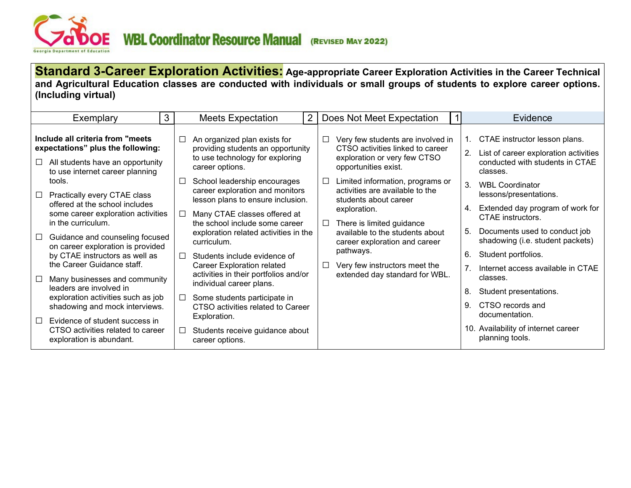<span id="page-3-0"></span>

**Standard 3-Career Exploration Activities: Age-appropriate Career Exploration Activities in the Career Technical and Agricultural Education classes are conducted with individuals or small groups of students to explore career options. (Including virtual)**

| Exemplary                                                                                                                                                         | 3 | <b>Meets Expectation</b>                                                                                                                                                    | 2 |             | Does Not Meet Expectation                                                                                                                                         |         | Evidence                                                                                                                               |
|-------------------------------------------------------------------------------------------------------------------------------------------------------------------|---|-----------------------------------------------------------------------------------------------------------------------------------------------------------------------------|---|-------------|-------------------------------------------------------------------------------------------------------------------------------------------------------------------|---------|----------------------------------------------------------------------------------------------------------------------------------------|
| Include all criteria from "meets"<br>expectations" plus the following:<br>All students have an opportunity<br>$\Box$<br>to use internet career planning<br>tools. |   | An organized plan exists for<br>$\Box$<br>providing students an opportunity<br>to use technology for exploring<br>career options.<br>School leadership encourages<br>$\Box$ |   | □<br>$\Box$ | Very few students are involved in<br>CTSO activities linked to career<br>exploration or very few CTSO<br>opportunities exist.<br>Limited information, programs or |         | CTAE instructor lesson plans.<br>$1_{-}$<br>2.<br>List of career exploration activities<br>conducted with students in CTAE<br>classes. |
| □ Practically every CTAE class<br>offered at the school includes<br>some career exploration activities                                                            |   | career exploration and monitors<br>lesson plans to ensure inclusion.<br>Many CTAE classes offered at<br>$\Box$                                                              |   |             | activities are available to the<br>students about career<br>exploration.                                                                                          | $3_{-}$ | <b>WBL Coordinator</b><br>lessons/presentations.<br>Extended day program of work for<br>4.                                             |
| in the curriculum.<br>Guidance and counseling focused<br>$\Box$<br>on career exploration is provided                                                              |   | the school include some career<br>exploration related activities in the<br>curriculum.                                                                                      |   | $\Box$      | There is limited guidance<br>available to the students about<br>career exploration and career                                                                     |         | CTAE instructors.<br>Documents used to conduct job<br>5.<br>shadowing (i.e. student packets)                                           |
| by CTAE instructors as well as<br>the Career Guidance staff.<br>Many businesses and community<br>$\Box$                                                           |   | Students include evidence of<br>$\Box$<br><b>Career Exploration related</b><br>activities in their portfolios and/or                                                        |   | □           | pathways.<br>Very few instructors meet the<br>extended day standard for WBL.                                                                                      | 6.      | Student portfolios.<br>Internet access available in CTAE<br>classes.                                                                   |
| leaders are involved in<br>exploration activities such as job                                                                                                     |   | individual career plans.<br>Some students participate in                                                                                                                    |   |             |                                                                                                                                                                   | 8.      | Student presentations.                                                                                                                 |
| shadowing and mock interviews.<br>Evidence of student success in<br>$\Box$<br>CTSO activities related to career                                                   |   | CTSO activities related to Career<br>Exploration.<br>Students receive guidance about<br>□                                                                                   |   |             |                                                                                                                                                                   | 9.      | CTSO records and<br>documentation.<br>10. Availability of internet career                                                              |
| exploration is abundant.                                                                                                                                          |   | career options.                                                                                                                                                             |   |             |                                                                                                                                                                   |         | planning tools.                                                                                                                        |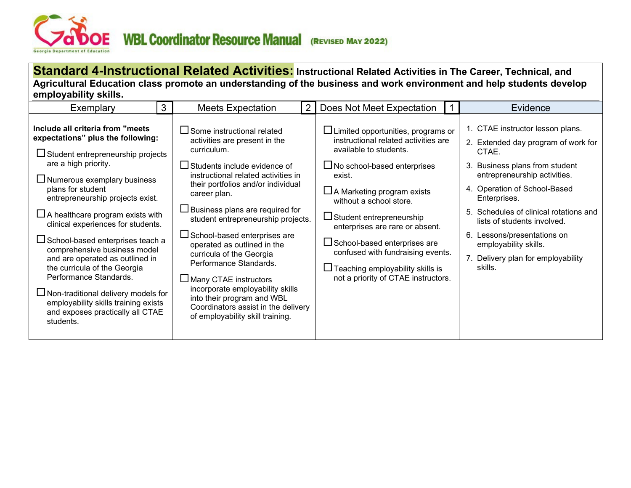<span id="page-4-0"></span>

**Standard 4-Instructional Related Activities: Instructional Related Activities in The Career, Technical, and Agricultural Education class promote an understanding of the business and work environment and help students develop employability skills.**

| 3<br>Exemplary                                                                                                                                                                                                                                                                                                                                                                                                                                                                                                                                                                                                                            | $\overline{2}$<br><b>Meets Expectation</b>                                                                                                                                                                                                                                                                                                                                                                                                                                                                                                                                                                     | Does Not Meet Expectation                                                                                                                                                                                                                                                                                                                                                                                                                                  | Evidence                                                                                                                                                                                                                                                                                                                                                                             |
|-------------------------------------------------------------------------------------------------------------------------------------------------------------------------------------------------------------------------------------------------------------------------------------------------------------------------------------------------------------------------------------------------------------------------------------------------------------------------------------------------------------------------------------------------------------------------------------------------------------------------------------------|----------------------------------------------------------------------------------------------------------------------------------------------------------------------------------------------------------------------------------------------------------------------------------------------------------------------------------------------------------------------------------------------------------------------------------------------------------------------------------------------------------------------------------------------------------------------------------------------------------------|------------------------------------------------------------------------------------------------------------------------------------------------------------------------------------------------------------------------------------------------------------------------------------------------------------------------------------------------------------------------------------------------------------------------------------------------------------|--------------------------------------------------------------------------------------------------------------------------------------------------------------------------------------------------------------------------------------------------------------------------------------------------------------------------------------------------------------------------------------|
| Include all criteria from "meets"<br>expectations" plus the following:<br>$\Box$ Student entrepreneurship projects<br>are a high priority.<br>$\Box$ Numerous exemplary business<br>plans for student<br>entrepreneurship projects exist.<br>$\Box$ A healthcare program exists with<br>clinical experiences for students.<br>$\Box$ School-based enterprises teach a<br>comprehensive business model<br>and are operated as outlined in<br>the curricula of the Georgia<br>Performance Standards.<br>$\Box$ Non-traditional delivery models for<br>employability skills training exists<br>and exposes practically all CTAE<br>students. | $\Box$ Some instructional related<br>activities are present in the<br>curriculum.<br>$\Box$ Students include evidence of<br>instructional related activities in<br>their portfolios and/or individual<br>career plan.<br>$\Box$ Business plans are required for<br>student entrepreneurship projects.<br>$\Box$ School-based enterprises are<br>operated as outlined in the<br>curricula of the Georgia<br>Performance Standards.<br>$\Box$ Many CTAE instructors<br>incorporate employability skills<br>into their program and WBL<br>Coordinators assist in the delivery<br>of employability skill training. | $\Box$ Limited opportunities, programs or<br>instructional related activities are<br>available to students.<br>$\Box$ No school-based enterprises<br>exist.<br>$\Box$ A Marketing program exists<br>without a school store.<br>$\Box$ Student entrepreneurship<br>enterprises are rare or absent.<br>□ School-based enterprises are<br>confused with fundraising events.<br>$\Box$ Teaching employability skills is<br>not a priority of CTAE instructors. | 1. CTAE instructor lesson plans.<br>2. Extended day program of work for<br>CTAE.<br>3. Business plans from student<br>entrepreneurship activities.<br>4. Operation of School-Based<br>Enterprises.<br>5. Schedules of clinical rotations and<br>lists of students involved.<br>6. Lessons/presentations on<br>employability skills.<br>7. Delivery plan for employability<br>skills. |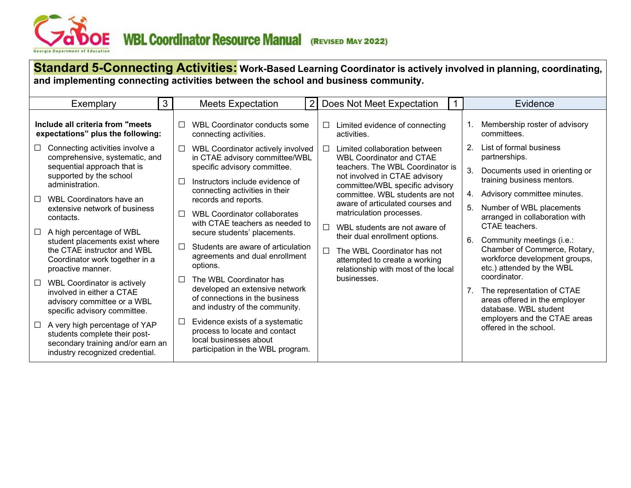<span id="page-5-0"></span>

| <b>Standard 5-Connecting Activities:</b> Work-Based Learning Coordinator is actively involved in planning, coordinating,<br>and implementing connecting activities between the school and business community. |                                                                                                                                                  |        |                                                                                                                                 |                |                                                                                                                                                 |                |                                                                                                                         |  |  |  |  |  |
|---------------------------------------------------------------------------------------------------------------------------------------------------------------------------------------------------------------|--------------------------------------------------------------------------------------------------------------------------------------------------|--------|---------------------------------------------------------------------------------------------------------------------------------|----------------|-------------------------------------------------------------------------------------------------------------------------------------------------|----------------|-------------------------------------------------------------------------------------------------------------------------|--|--|--|--|--|
|                                                                                                                                                                                                               | 3<br>Exemplary                                                                                                                                   |        | <b>Meets Expectation</b>                                                                                                        | $\overline{2}$ | Does Not Meet Expectation                                                                                                                       |                | Evidence                                                                                                                |  |  |  |  |  |
|                                                                                                                                                                                                               | Include all criteria from "meets"<br>expectations" plus the following:                                                                           | П      | WBL Coordinator conducts some<br>connecting activities.                                                                         |                | Limited evidence of connecting<br>$\Box$<br>activities.                                                                                         | $1_{\cdot}$    | Membership roster of advisory<br>committees.                                                                            |  |  |  |  |  |
| $\Box$                                                                                                                                                                                                        | Connecting activities involve a<br>comprehensive, systematic, and                                                                                | ப      | WBL Coordinator actively involved<br>in CTAE advisory committee/WBL                                                             |                | Limited collaboration between<br>$\Box$<br><b>WBL Coordinator and CTAE</b>                                                                      | 2 <sup>1</sup> | List of formal business<br>partnerships.                                                                                |  |  |  |  |  |
|                                                                                                                                                                                                               | sequential approach that is<br>supported by the school<br>administration.                                                                        |        | specific advisory committee.<br>Instructors include evidence of<br>$\mathbf{L}$                                                 |                | teachers. The WBL Coordinator is<br>not involved in CTAE advisory<br>committee/WBL specific advisory                                            | 3.             | Documents used in orienting or<br>training business mentors.                                                            |  |  |  |  |  |
| $\Box$                                                                                                                                                                                                        | WBL Coordinators have an                                                                                                                         |        | connecting activities in their<br>records and reports.                                                                          |                | committee. WBL students are not                                                                                                                 | 4.             | Advisory committee minutes.                                                                                             |  |  |  |  |  |
|                                                                                                                                                                                                               | extensive network of business<br>contacts.                                                                                                       | П      | <b>WBL Coordinator collaborates</b><br>with CTAE teachers as needed to                                                          |                | aware of articulated courses and<br>matriculation processes.<br>WBL students are not aware of<br>$\Box$                                         | 5.             | Number of WBL placements<br>arranged in collaboration with<br>CTAE teachers.                                            |  |  |  |  |  |
| $\Box$                                                                                                                                                                                                        | A high percentage of WBL<br>student placements exist where<br>the CTAE instructor and WBL<br>Coordinator work together in a<br>proactive manner. | П      | secure students' placements.<br>Students are aware of articulation<br>agreements and dual enrollment<br>options.                |                | their dual enrollment options.<br>The WBL Coordinator has not<br>$\Box$<br>attempted to create a working<br>relationship with most of the local | 6.             | Community meetings (i.e.:<br>Chamber of Commerce, Rotary,<br>workforce development groups,<br>etc.) attended by the WBL |  |  |  |  |  |
| $\Box$                                                                                                                                                                                                        | WBL Coordinator is actively<br>involved in either a CTAE<br>advisory committee or a WBL<br>specific advisory committee.                          |        | The WBL Coordinator has<br>developed an extensive network<br>of connections in the business<br>and industry of the community.   |                | businesses.                                                                                                                                     |                | coordinator.<br>The representation of CTAE<br>areas offered in the employer<br>database. WBL student                    |  |  |  |  |  |
| $\Box$                                                                                                                                                                                                        | A very high percentage of YAP<br>students complete their post-<br>secondary training and/or earn an<br>industry recognized credential.           | $\Box$ | Evidence exists of a systematic<br>process to locate and contact<br>local businesses about<br>participation in the WBL program. |                |                                                                                                                                                 |                | employers and the CTAE areas<br>offered in the school.                                                                  |  |  |  |  |  |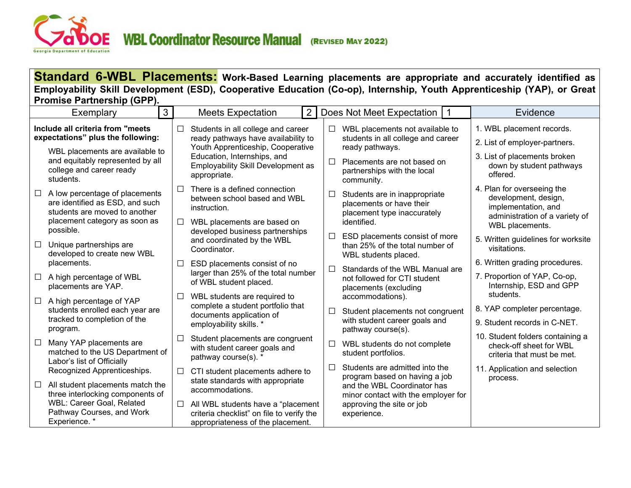<span id="page-6-0"></span>

**Standard 6-WBL Placements: Work-Based Learning placements are appropriate and accurately identified as Employability Skill Development (ESD), Cooperative Education (Co-op), Internship, Youth Apprenticeship (YAP), or Great Promise Partnership (GPP).** 

|                                                                       | Exemplary                                                                                                    | $\mathbf{3}$ |                                                                             | <b>Meets Expectation</b>                                                                                                      | $\overline{2}$ |        | Does Not Meet Expectation                                                                   | l 1 | Evidence                                                                                                    |
|-----------------------------------------------------------------------|--------------------------------------------------------------------------------------------------------------|--------------|-----------------------------------------------------------------------------|-------------------------------------------------------------------------------------------------------------------------------|----------------|--------|---------------------------------------------------------------------------------------------|-----|-------------------------------------------------------------------------------------------------------------|
| Include all criteria from "meets<br>expectations" plus the following: |                                                                                                              |              | □                                                                           | Students in all college and career<br>ready pathways have availability to                                                     |                | □      | WBL placements not available to<br>students in all college and career                       |     | 1. WBL placement records.<br>2. List of employer-partners.                                                  |
|                                                                       | WBL placements are available to<br>and equitably represented by all<br>college and career ready<br>students. |              |                                                                             | Youth Apprenticeship, Cooperative<br>Education, Internships, and<br><b>Employability Skill Development as</b><br>appropriate. |                | П      | ready pathways.<br>Placements are not based on<br>partnerships with the local<br>community. |     | 3. List of placements broken<br>down by student pathways<br>offered.                                        |
| $\Box$                                                                | A low percentage of placements<br>are identified as ESD, and such<br>students are moved to another           |              | ⊏                                                                           | There is a defined connection<br>between school based and WBL<br>instruction.                                                 |                | □      | Students are in inappropriate<br>placements or have their<br>placement type inaccurately    |     | 4. Plan for overseeing the<br>development, design,<br>implementation, and<br>administration of a variety of |
|                                                                       | placement category as soon as<br>possible.                                                                   |              | $\Box$                                                                      | WBL placements are based on<br>developed business partnerships                                                                |                | □      | identified.<br>ESD placements consist of more                                               |     | WBL placements.                                                                                             |
| $\Box$                                                                | Unique partnerships are<br>developed to create new WBL                                                       |              |                                                                             | and coordinated by the WBL<br>Coordinator.                                                                                    |                |        | than 25% of the total number of                                                             |     | 5. Written guidelines for worksite<br>visitations.                                                          |
|                                                                       | placements.                                                                                                  |              | $\Box$                                                                      | ESD placements consist of no                                                                                                  |                | □      | WBL students placed.<br>Standards of the WBL Manual are                                     |     | 6. Written grading procedures.                                                                              |
| □                                                                     | A high percentage of WBL<br>placements are YAP.                                                              |              |                                                                             | larger than 25% of the total number<br>of WBL student placed.                                                                 |                |        | not followed for CTI student<br>placements (excluding                                       |     | 7. Proportion of YAP, Co-op,<br>Internship, ESD and GPP                                                     |
| $\Box$                                                                | A high percentage of YAP<br>students enrolled each year are                                                  |              | WBL students are required to<br>$\Box$<br>complete a student portfolio that |                                                                                                                               |                | $\Box$ | accommodations).                                                                            |     | students.<br>8. YAP completer percentage.                                                                   |
|                                                                       | tracked to completion of the<br>program.                                                                     |              |                                                                             | documents application of<br>employability skills. *                                                                           |                |        | Student placements not congruent<br>with student career goals and                           |     | 9. Student records in C-NET.                                                                                |
| $\Box$                                                                | Many YAP placements are<br>matched to the US Department of<br>Labor's list of Officially                     |              | $\Box$                                                                      | Student placements are congruent<br>with student career goals and<br>pathway course(s). *                                     |                | □      | pathway course(s).<br>WBL students do not complete<br>student portfolios.                   |     | 10. Student folders containing a<br>check-off sheet for WBL<br>criteria that must be met.                   |
|                                                                       | Recognized Apprenticeships.                                                                                  |              | □                                                                           | CTI student placements adhere to                                                                                              |                | П      | Students are admitted into the<br>program based on having a job                             |     | 11. Application and selection                                                                               |
| $\Box$                                                                | All student placements match the<br>three interlocking components of                                         |              |                                                                             | state standards with appropriate<br>accommodations.                                                                           |                |        | and the WBL Coordinator has<br>minor contact with the employer for                          |     | process.                                                                                                    |
|                                                                       | WBL: Career Goal, Related<br>Pathway Courses, and Work<br>Experience. *                                      |              | □                                                                           | All WBL students have a "placement<br>criteria checklist" on file to verify the<br>appropriateness of the placement.          |                |        | approving the site or job<br>experience.                                                    |     |                                                                                                             |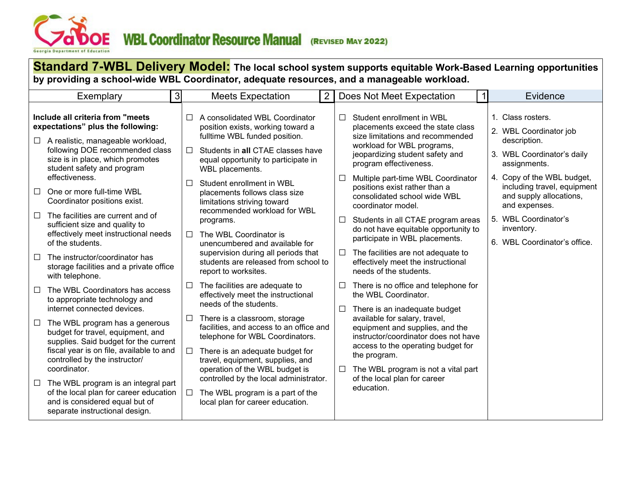<span id="page-7-0"></span>

| Standard 7-WBL Delivery Model: The local school system supports equitable Work-Based Learning opportunities<br>by providing a school-wide WBL Coordinator, adequate resources, and a manageable workload. |                                                                                                                                                                                                                                                                                |                |                                                                                                                                                                                                                                                                 |                  |                                                                                                                                                                                                                                                                 |  |                                                                                                           |  |  |  |  |
|-----------------------------------------------------------------------------------------------------------------------------------------------------------------------------------------------------------|--------------------------------------------------------------------------------------------------------------------------------------------------------------------------------------------------------------------------------------------------------------------------------|----------------|-----------------------------------------------------------------------------------------------------------------------------------------------------------------------------------------------------------------------------------------------------------------|------------------|-----------------------------------------------------------------------------------------------------------------------------------------------------------------------------------------------------------------------------------------------------------------|--|-----------------------------------------------------------------------------------------------------------|--|--|--|--|
|                                                                                                                                                                                                           | Exemplary                                                                                                                                                                                                                                                                      | 3 <sup>1</sup> | $\overline{2}$<br><b>Meets Expectation</b>                                                                                                                                                                                                                      |                  | Does Not Meet Expectation                                                                                                                                                                                                                                       |  | Evidence                                                                                                  |  |  |  |  |
|                                                                                                                                                                                                           | Include all criteria from "meets<br>expectations" plus the following:<br>$\Box$ A realistic, manageable workload,<br>following DOE recommended class<br>size is in place, which promotes<br>student safety and program                                                         |                | $\Box$ A consolidated WBL Coordinator<br>position exists, working toward a<br>fulltime WBL funded position.<br>Students in all CTAE classes have<br>□<br>equal opportunity to participate in<br>WBL placements.                                                 | П                | Student enrollment in WBL<br>placements exceed the state class<br>size limitations and recommended<br>workload for WBL programs,<br>jeopardizing student safety and<br>program effectiveness.                                                                   |  | 1. Class rosters.<br>2. WBL Coordinator job<br>description.<br>3. WBL Coordinator's daily<br>assignments. |  |  |  |  |
| $\Box$                                                                                                                                                                                                    | effectiveness.<br>One or more full-time WBL<br>Coordinator positions exist.                                                                                                                                                                                                    |                | Student enrollment in WBL<br>П<br>placements follows class size<br>limitations striving toward                                                                                                                                                                  | $\Box$           | Multiple part-time WBL Coordinator<br>positions exist rather than a<br>consolidated school wide WBL<br>coordinator model.                                                                                                                                       |  | 4. Copy of the WBL budget,<br>including travel, equipment<br>and supply allocations,<br>and expenses.     |  |  |  |  |
| $\Box$<br>□                                                                                                                                                                                               | The facilities are current and of<br>sufficient size and quality to<br>effectively meet instructional needs<br>of the students.<br>The instructor/coordinator has<br>storage facilities and a private office                                                                   |                | recommended workload for WBL<br>programs.<br>The WBL Coordinator is<br>П<br>unencumbered and available for<br>supervision during all periods that<br>students are released from school to<br>report to worksites.                                               | $\Box$<br>$\Box$ | Students in all CTAE program areas<br>do not have equitable opportunity to<br>participate in WBL placements.<br>The facilities are not adequate to<br>effectively meet the instructional<br>needs of the students.                                              |  | 5. WBL Coordinator's<br>inventory.<br>6. WBL Coordinator's office.                                        |  |  |  |  |
| $\Box$<br>$\Box$                                                                                                                                                                                          | with telephone.<br>The WBL Coordinators has access<br>to appropriate technology and<br>internet connected devices.<br>The WBL program has a generous<br>budget for travel, equipment, and<br>supplies. Said budget for the current<br>fiscal year is on file, available to and |                | The facilities are adequate to<br>effectively meet the instructional<br>needs of the students.<br>There is a classroom, storage<br>$\Box$<br>facilities, and access to an office and<br>telephone for WBL Coordinators.<br>There is an adequate budget for<br>ப | □                | There is no office and telephone for<br>the WBL Coordinator.<br>There is an inadequate budget<br>available for salary, travel,<br>equipment and supplies, and the<br>instructor/coordinator does not have<br>access to the operating budget for<br>the program. |  |                                                                                                           |  |  |  |  |
|                                                                                                                                                                                                           | controlled by the instructor/<br>coordinator.<br>$\Box$ The WBL program is an integral part<br>of the local plan for career education<br>and is considered equal but of<br>separate instructional design.                                                                      |                | travel, equipment, supplies, and<br>operation of the WBL budget is<br>controlled by the local administrator.<br>The WBL program is a part of the<br>□<br>local plan for career education.                                                                       | ⊔                | The WBL program is not a vital part<br>of the local plan for career<br>education.                                                                                                                                                                               |  |                                                                                                           |  |  |  |  |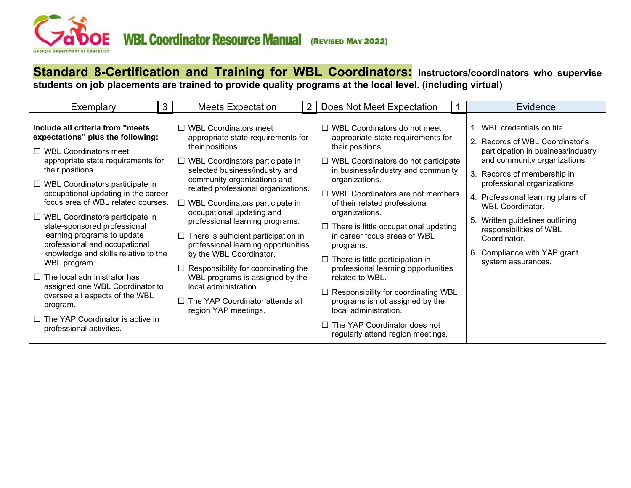<span id="page-8-0"></span>

| Standard 8-Certification and Training for WBL Coordinators: Instructors/coordinators who supervise<br>students on job placements are trained to provide quality programs at the local level. (including virtual)                                                                                                                                                                                                                                                                                                                                                                                                                                                                        |   |                                                                                                                                                                                                                                                                                                                                                                                                                                                                                                                                                                                                                                          |   |                                                                                                                                                                                                                                                                                                                                                                                                                                                                                                                                                                                                                                                                                           |  |                                                                                                                                                                                                                                                                                                                                                                                                    |  |  |  |  |  |
|-----------------------------------------------------------------------------------------------------------------------------------------------------------------------------------------------------------------------------------------------------------------------------------------------------------------------------------------------------------------------------------------------------------------------------------------------------------------------------------------------------------------------------------------------------------------------------------------------------------------------------------------------------------------------------------------|---|------------------------------------------------------------------------------------------------------------------------------------------------------------------------------------------------------------------------------------------------------------------------------------------------------------------------------------------------------------------------------------------------------------------------------------------------------------------------------------------------------------------------------------------------------------------------------------------------------------------------------------------|---|-------------------------------------------------------------------------------------------------------------------------------------------------------------------------------------------------------------------------------------------------------------------------------------------------------------------------------------------------------------------------------------------------------------------------------------------------------------------------------------------------------------------------------------------------------------------------------------------------------------------------------------------------------------------------------------------|--|----------------------------------------------------------------------------------------------------------------------------------------------------------------------------------------------------------------------------------------------------------------------------------------------------------------------------------------------------------------------------------------------------|--|--|--|--|--|
| Exemplary                                                                                                                                                                                                                                                                                                                                                                                                                                                                                                                                                                                                                                                                               | 3 | <b>Meets Expectation</b>                                                                                                                                                                                                                                                                                                                                                                                                                                                                                                                                                                                                                 | 2 | Does Not Meet Expectation                                                                                                                                                                                                                                                                                                                                                                                                                                                                                                                                                                                                                                                                 |  | Evidence                                                                                                                                                                                                                                                                                                                                                                                           |  |  |  |  |  |
| Include all criteria from "meets"<br>expectations" plus the following:<br>$\Box$ WBL Coordinators meet<br>appropriate state requirements for<br>their positions.<br>$\Box$ WBL Coordinators participate in<br>occupational updating in the career<br>focus area of WBL related courses.<br>$\Box$ WBL Coordinators participate in<br>state-sponsored professional<br>learning programs to update<br>professional and occupational<br>knowledge and skills relative to the<br>WBL program.<br>$\Box$ The local administrator has<br>assigned one WBL Coordinator to<br>oversee all aspects of the WBL<br>program.<br>$\Box$ The YAP Coordinator is active in<br>professional activities. |   | $\Box$ WBL Coordinators meet<br>appropriate state requirements for<br>their positions.<br>$\Box$ WBL Coordinators participate in<br>selected business/industry and<br>community organizations and<br>related professional organizations.<br>$\Box$ WBL Coordinators participate in<br>occupational updating and<br>professional learning programs.<br>$\Box$ There is sufficient participation in<br>professional learning opportunities<br>by the WBL Coordinator.<br>Responsibility for coordinating the<br>WBL programs is assigned by the<br>local administration.<br>$\Box$ The YAP Coordinator attends all<br>region YAP meetings. |   | $\Box$ WBL Coordinators do not meet<br>appropriate state requirements for<br>their positions.<br>$\Box$ WBL Coordinators do not participate<br>in business/industry and community<br>organizations.<br>$\Box$ WBL Coordinators are not members<br>of their related professional<br>organizations.<br>$\Box$ There is little occupational updating<br>in career focus areas of WBL<br>programs.<br>$\Box$ There is little participation in<br>professional learning opportunities<br>related to WBL.<br>$\Box$ Responsibility for coordinating WBL<br>programs is not assigned by the<br>local administration.<br>$\Box$ The YAP Coordinator does not<br>regularly attend region meetings. |  | 1. WBL credentials on file.<br>2. Records of WBL Coordinator's<br>participation in business/industry<br>and community organizations.<br>3. Records of membership in<br>professional organizations<br>4. Professional learning plans of<br><b>WBL Coordinator.</b><br>5. Written guidelines outlining<br>responsibilities of WBL<br>Coordinator.<br>Compliance with YAP grant<br>system assurances. |  |  |  |  |  |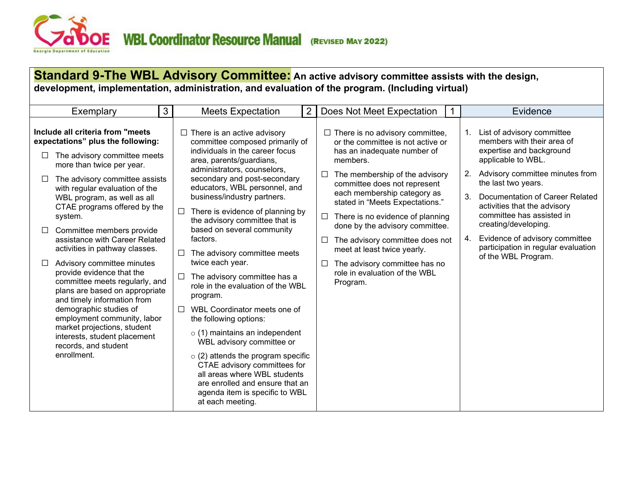<span id="page-9-0"></span>

#### **Standard 9-The WBL Advisory Committee: An active advisory committee assists with the design, development, implementation, administration, and evaluation of the program. (Including virtual)** Exemplary 13 Meets Expectation 2 Does Not Meet Expectation 11 **Include all criteria from "meets expectations" plus the following:**   $\Box$  The advisory committee meets more than twice per year.  $\Box$  The advisory committee assists with regular evaluation of the WBL program, as well as all CTAE programs offered by the system.  $\Box$  Committee members provide assistance with Career Related activities in pathway classes.  $\Box$  Advisory committee minutes provide evidence that the committee meets regularly, and plans are based on appropriate and timely information from demographic studies of employment community, labor market projections, student interests, student placement records, and student enrollment.  $\Box$  There is an active advisory committee composed primarily of individuals in the career focus area, parents/guardians, administrators, counselors, secondary and post-secondary educators, WBL personnel, and business/industry partners.  $\Box$  There is evidence of planning by the advisory committee that is based on several community factors.  $\Box$  The advisory committee meets twice each year.  $\Box$  The advisory committee has a role in the evaluation of the WBL program. WBL Coordinator meets one of the following options:  $\circ$  (1) maintains an independent WBL advisory committee or  $\circ$  (2) attends the program specific CTAE advisory committees for all areas where WBL students are enrolled and ensure that an agenda item is specific to WBL at each meeting.  $\Box$  There is no advisory committee. or the committee is not active or has an inadequate number of members.  $\Box$  The membership of the advisory committee does not represent each membership category as stated in "Meets Expectations."  $\Box$  There is no evidence of planning done by the advisory committee.  $\Box$  The advisory committee does not meet at least twice yearly.  $\Box$  The advisory committee has no role in evaluation of the WBL Program. 1. List of advisory committee members with their area of expertise and background applicable to WBL. 2. Advisory committee minutes from the last two years. 3. Documentation of Career Related activities that the advisory committee has assisted in creating/developing. 4. Evidence of advisory committee participation in regular evaluation of the WBL Program.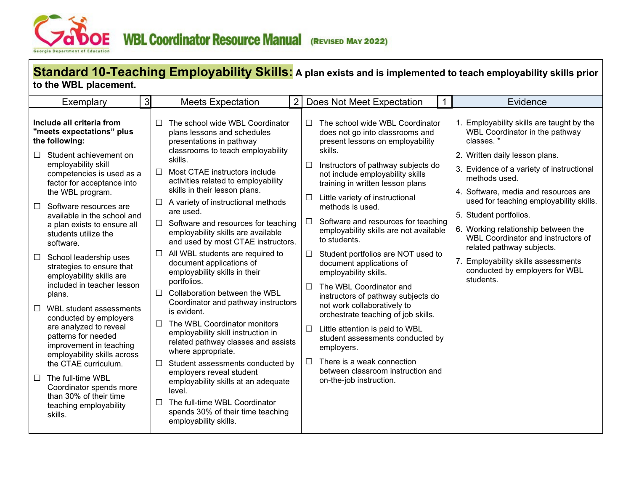<span id="page-10-0"></span>

# **Standard 10-Teaching Employability Skills: A plan exists and is implemented to teach employability skills prior to the WBL placement.**

| 3                                                                                                                                                                                                                                                                                                                                                                                                                                                                                                                                                                                                                                                                                                                                                                                                                         | $\overline{2}$                                                                                                                                                                                                                                                                                                                                                                                                                                                                                                                                                                                                                                                                                                                                                                                                                                                                                                                                                                                                                       | Does Not Meet Expectation                                                                                                                                                                                                                                                                                                                                                                                                                                                                                                                                                                                                                                                                                                                                                                                                                                           | Evidence                                                                                                                                                                                                                                                                                                                                                                                                                                                                                               |
|---------------------------------------------------------------------------------------------------------------------------------------------------------------------------------------------------------------------------------------------------------------------------------------------------------------------------------------------------------------------------------------------------------------------------------------------------------------------------------------------------------------------------------------------------------------------------------------------------------------------------------------------------------------------------------------------------------------------------------------------------------------------------------------------------------------------------|--------------------------------------------------------------------------------------------------------------------------------------------------------------------------------------------------------------------------------------------------------------------------------------------------------------------------------------------------------------------------------------------------------------------------------------------------------------------------------------------------------------------------------------------------------------------------------------------------------------------------------------------------------------------------------------------------------------------------------------------------------------------------------------------------------------------------------------------------------------------------------------------------------------------------------------------------------------------------------------------------------------------------------------|---------------------------------------------------------------------------------------------------------------------------------------------------------------------------------------------------------------------------------------------------------------------------------------------------------------------------------------------------------------------------------------------------------------------------------------------------------------------------------------------------------------------------------------------------------------------------------------------------------------------------------------------------------------------------------------------------------------------------------------------------------------------------------------------------------------------------------------------------------------------|--------------------------------------------------------------------------------------------------------------------------------------------------------------------------------------------------------------------------------------------------------------------------------------------------------------------------------------------------------------------------------------------------------------------------------------------------------------------------------------------------------|
| Exemplary                                                                                                                                                                                                                                                                                                                                                                                                                                                                                                                                                                                                                                                                                                                                                                                                                 | <b>Meets Expectation</b>                                                                                                                                                                                                                                                                                                                                                                                                                                                                                                                                                                                                                                                                                                                                                                                                                                                                                                                                                                                                             | $\mathbf{1}$                                                                                                                                                                                                                                                                                                                                                                                                                                                                                                                                                                                                                                                                                                                                                                                                                                                        |                                                                                                                                                                                                                                                                                                                                                                                                                                                                                                        |
| Include all criteria from<br>"meets expectations" plus<br>the following:<br>Student achievement on<br>$\Box$<br>employability skill<br>competencies is used as a<br>factor for acceptance into<br>the WBL program.<br>$\Box$<br>Software resources are<br>available in the school and<br>a plan exists to ensure all<br>students utilize the<br>software.<br>School leadership uses<br>$\Box$<br>strategies to ensure that<br>employability skills are<br>included in teacher lesson<br>plans.<br>WBL student assessments<br>$\Box$<br>conducted by employers<br>are analyzed to reveal<br>patterns for needed<br>improvement in teaching<br>employability skills across<br>the CTAE curriculum.<br>$\Box$<br>The full-time WBL<br>Coordinator spends more<br>than 30% of their time<br>teaching employability<br>skills. | The school wide WBL Coordinator<br>$\perp$<br>plans lessons and schedules<br>presentations in pathway<br>classrooms to teach employability<br>skills.<br>Most CTAE instructors include<br>$\perp$<br>activities related to employability<br>skills in their lesson plans.<br>A variety of instructional methods<br>are used.<br>$\Box$ Software and resources for teaching<br>employability skills are available<br>and used by most CTAE instructors.<br>All WBL students are required to<br>document applications of<br>employability skills in their<br>portfolios.<br>Collaboration between the WBL<br>$\Box$<br>Coordinator and pathway instructors<br>is evident.<br>The WBL Coordinator monitors<br>employability skill instruction in<br>related pathway classes and assists<br>where appropriate.<br>Student assessments conducted by<br>$\Box$<br>employers reveal student<br>employability skills at an adequate<br>level.<br>The full-time WBL Coordinator<br>spends 30% of their time teaching<br>employability skills. | The school wide WBL Coordinator<br>П<br>does not go into classrooms and<br>present lessons on employability<br>skills.<br>Instructors of pathway subjects do<br>П<br>not include employability skills<br>training in written lesson plans<br>Little variety of instructional<br>$\Box$<br>methods is used.<br>Software and resources for teaching<br>П<br>employability skills are not available<br>to students.<br>Student portfolios are NOT used to<br>$\Box$<br>document applications of<br>employability skills.<br>The WBL Coordinator and<br>П<br>instructors of pathway subjects do<br>not work collaboratively to<br>orchestrate teaching of job skills.<br>Little attention is paid to WBL<br>□<br>student assessments conducted by<br>employers.<br>There is a weak connection<br>$\Box$<br>between classroom instruction and<br>on-the-job instruction. | 1. Employability skills are taught by the<br>WBL Coordinator in the pathway<br>classes. *<br>2. Written daily lesson plans.<br>3. Evidence of a variety of instructional<br>methods used.<br>4. Software, media and resources are<br>used for teaching employability skills.<br>5. Student portfolios.<br>6. Working relationship between the<br>WBL Coordinator and instructors of<br>related pathway subjects.<br>7. Employability skills assessments<br>conducted by employers for WBL<br>students. |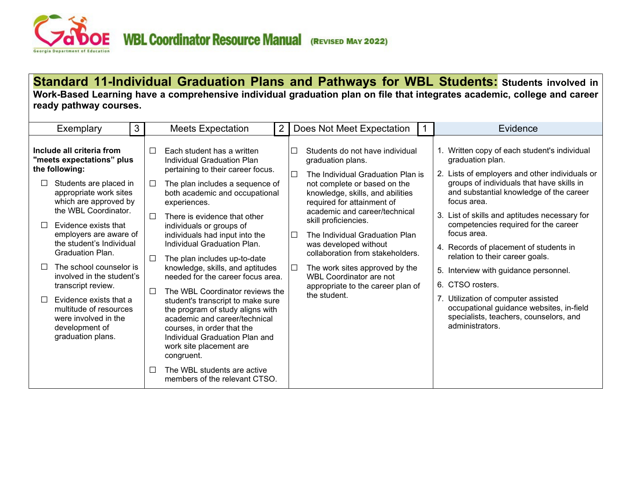<span id="page-11-0"></span>

**Standard 11-Individual Graduation Plans and Pathways for WBL Students: Students involved in Work-Based Learning have a comprehensive individual graduation plan on file that integrates academic, college and career ready pathway courses.**

| Exemplary                                                                                                                                       | $\mathbf{3}$ |                  | <b>Meets Expectation</b>                                                                                                                                                                                        | 2 |        | Does Not Meet Expectation                                                                                                                                                          | Evidence                                                                                                                                                                                                |
|-------------------------------------------------------------------------------------------------------------------------------------------------|--------------|------------------|-----------------------------------------------------------------------------------------------------------------------------------------------------------------------------------------------------------------|---|--------|------------------------------------------------------------------------------------------------------------------------------------------------------------------------------------|---------------------------------------------------------------------------------------------------------------------------------------------------------------------------------------------------------|
| Include all criteria from<br>"meets expectations" plus<br>the following:<br>Students are placed in<br>appropriate work sites                    |              | $\Box$<br>$\Box$ | Each student has a written<br>Individual Graduation Plan<br>pertaining to their career focus.<br>The plan includes a sequence of<br>both academic and occupational                                              |   | $\Box$ | Students do not have individual<br>graduation plans.<br>The Individual Graduation Plan is<br>not complete or based on the<br>knowledge, skills, and abilities                      | Written copy of each student's individual<br>graduation plan.<br>2. Lists of employers and other individuals or<br>groups of individuals that have skills in<br>and substantial knowledge of the career |
| which are approved by<br>the WBL Coordinator.<br>Evidence exists that<br>employers are aware of<br>the student's Individual<br>Graduation Plan. |              | П<br>$\Box$      | experiences.<br>There is evidence that other<br>individuals or groups of<br>individuals had input into the<br>Individual Graduation Plan.<br>The plan includes up-to-date                                       |   | $\Box$ | required for attainment of<br>academic and career/technical<br>skill proficiencies.<br>The Individual Graduation Plan<br>was developed without<br>collaboration from stakeholders. | focus area.<br>3. List of skills and aptitudes necessary for<br>competencies required for the career<br>focus area.<br>4. Records of placement of students in<br>relation to their career goals.        |
| The school counselor is<br>П<br>involved in the student's<br>transcript review.                                                                 |              |                  | knowledge, skills, and aptitudes<br>needed for the career focus area.<br>The WBL Coordinator reviews the                                                                                                        |   | $\Box$ | The work sites approved by the<br><b>WBL Coordinator are not</b><br>appropriate to the career plan of                                                                              | Interview with guidance personnel.<br>5.<br>6. CTSO rosters.                                                                                                                                            |
| П<br>Evidence exists that a<br>multitude of resources<br>were involved in the<br>development of<br>graduation plans.                            | $\mathsf{L}$ |                  | student's transcript to make sure<br>the program of study aligns with<br>academic and career/technical<br>courses, in order that the<br>Individual Graduation Plan and<br>work site placement are<br>congruent. |   |        | the student.                                                                                                                                                                       | 7 <sub>1</sub><br>Utilization of computer assisted<br>occupational guidance websites, in-field<br>specialists, teachers, counselors, and<br>administrators.                                             |
|                                                                                                                                                 |              |                  | The WBL students are active<br>members of the relevant CTSO.                                                                                                                                                    |   |        |                                                                                                                                                                                    |                                                                                                                                                                                                         |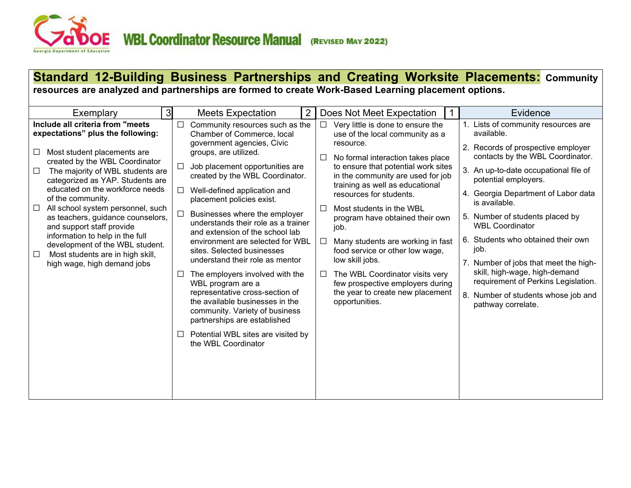

#### **Standard 12-Building Business Partnerships and Creating Worksite Placements: Community resources are analyzed and partnerships are formed to create Work-Based Learning placement options.** Exemplary 13 Meets Expectation 2 Does Not Meet Expectation 11 **Include all criteria from "meets expectations" plus the following:**   $\Box$  Most student placements are created by the WBL Coordinator  $\Box$  The majority of WBL students are categorized as YAP. Students are educated on the workforce needs of the community.  $\Box$  All school system personnel, such as teachers, guidance counselors, and support staff provide information to help in the full development of the WBL student.  $\Box$  Most students are in high skill, high wage, high demand jobs  $\Box$  Community resources such as the Chamber of Commerce, local government agencies, Civic groups, are utilized.  $\Box$  Job placement opportunities are created by the WBL Coordinator.  $\Box$  Well-defined application and placement policies exist.  $\Box$  Businesses where the employer understands their role as a trainer and extension of the school lab environment are selected for WBL sites. Selected businesses understand their role as mentor  $\Box$  The employers involved with the WBL program are a representative cross-section of the available businesses in the community. Variety of business partnerships are established  $\Box$  Potential WBL sites are visited by the WBL Coordinator  $\Box$  Very little is done to ensure the use of the local community as a resource.  $\Box$  No formal interaction takes place to ensure that potential work sites in the community are used for job training as well as educational resources for students.  $\Box$  Most students in the WBL program have obtained their own job.  $\Box$  Many students are working in fast food service or other low wage, low skill jobs.  $\Box$  The WBL Coordinator visits very few prospective employers during the year to create new placement opportunities. 1. Lists of community resources are available. 2. Records of prospective employer contacts by the WBL Coordinator. 3. An up-to-date occupational file of potential employers. 4. Georgia Department of Labor data is available. 5. Number of students placed by WBL Coordinator 6. Students who obtained their own job. 7. Number of jobs that meet the highskill, high-wage, high-demand requirement of Perkins Legislation. 8. Number of students whose job and pathway correlate.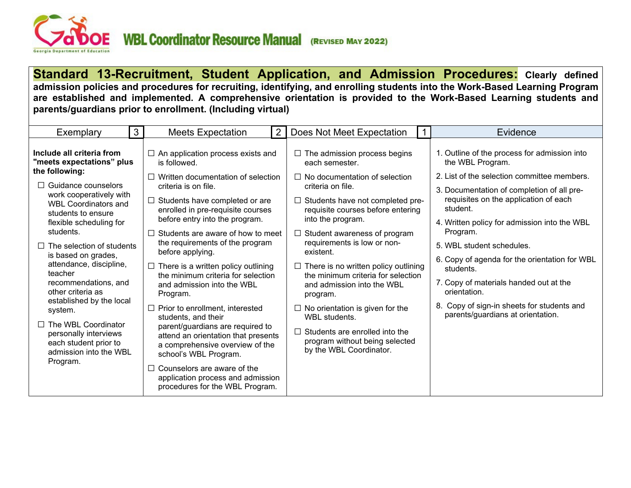<span id="page-13-0"></span>

**Standard 13-Recruitment, Student Application, and Admission Procedures: Clearly defined admission policies and procedures for recruiting, identifying, and enrolling students into the Work-Based Learning Program are established and implemented. A comprehensive orientation is provided to the Work-Based Learning students and parents/guardians prior to enrollment. (Including virtual)**

| Exemplary                                                                                                                                                                                                                                                                                                                                                 | 3 <sup>1</sup> | <b>Meets Expectation</b>                                                                                                                                                                                                                                                                                                                                                                                                                                | $\overline{2}$ | Does Not Meet Expectation                                                                                                                                                                                                                                                                                                                                                                                                                   |  | Evidence                                                                                                                                                                                                                                                                                                                                                                                                                                           |
|-----------------------------------------------------------------------------------------------------------------------------------------------------------------------------------------------------------------------------------------------------------------------------------------------------------------------------------------------------------|----------------|---------------------------------------------------------------------------------------------------------------------------------------------------------------------------------------------------------------------------------------------------------------------------------------------------------------------------------------------------------------------------------------------------------------------------------------------------------|----------------|---------------------------------------------------------------------------------------------------------------------------------------------------------------------------------------------------------------------------------------------------------------------------------------------------------------------------------------------------------------------------------------------------------------------------------------------|--|----------------------------------------------------------------------------------------------------------------------------------------------------------------------------------------------------------------------------------------------------------------------------------------------------------------------------------------------------------------------------------------------------------------------------------------------------|
| Include all criteria from<br>"meets expectations" plus                                                                                                                                                                                                                                                                                                    |                | $\Box$ An application process exists and<br>is followed.                                                                                                                                                                                                                                                                                                                                                                                                |                | $\Box$ The admission process begins<br>each semester.                                                                                                                                                                                                                                                                                                                                                                                       |  | 1. Outline of the process for admission into<br>the WBL Program.                                                                                                                                                                                                                                                                                                                                                                                   |
| the following:<br>$\Box$ Guidance counselors<br>work cooperatively with<br><b>WBL Coordinators and</b><br>students to ensure<br>flexible scheduling for<br>students.<br>$\Box$ The selection of students<br>is based on grades,<br>attendance, discipline,<br>teacher<br>recommendations, and<br>other criteria as<br>established by the local<br>system. |                | Written documentation of selection<br>criteria is on file.<br>Students have completed or are<br>enrolled in pre-requisite courses<br>before entry into the program.<br>Students are aware of how to meet<br>the requirements of the program<br>before applying.<br>$\Box$ There is a written policy outlining<br>the minimum criteria for selection<br>and admission into the WBL<br>Program.<br>Prior to enrollment, interested<br>students, and their |                | $\Box$ No documentation of selection<br>criteria on file.<br>$\Box$ Students have not completed pre-<br>requisite courses before entering<br>into the program.<br>$\Box$ Student awareness of program<br>requirements is low or non-<br>existent.<br>$\Box$ There is no written policy outlining<br>the minimum criteria for selection<br>and admission into the WBL<br>program.<br>$\Box$ No orientation is given for the<br>WBL students. |  | 2. List of the selection committee members.<br>3. Documentation of completion of all pre-<br>requisites on the application of each<br>student.<br>4. Written policy for admission into the WBL<br>Program.<br>5. WBL student schedules.<br>6. Copy of agenda for the orientation for WBL<br>students.<br>7. Copy of materials handed out at the<br>orientation.<br>8. Copy of sign-in sheets for students and<br>parents/guardians at orientation. |
| $\Box$ The WBL Coordinator<br>personally interviews<br>each student prior to<br>admission into the WBL<br>Program.                                                                                                                                                                                                                                        |                | parent/guardians are required to<br>attend an orientation that presents<br>a comprehensive overview of the<br>school's WBL Program.<br>Counselors are aware of the<br>application process and admission<br>procedures for the WBL Program.                                                                                                                                                                                                              |                | Students are enrolled into the<br>program without being selected<br>by the WBL Coordinator.                                                                                                                                                                                                                                                                                                                                                 |  |                                                                                                                                                                                                                                                                                                                                                                                                                                                    |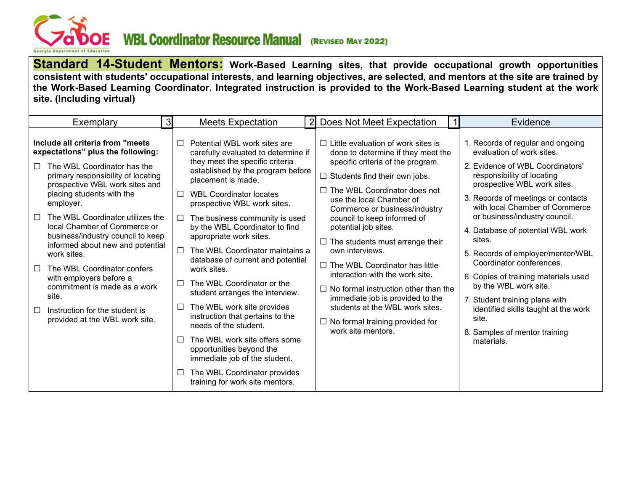<span id="page-14-0"></span>

**Standard 14-Student Mentors: Work-Based Learning sites, that provide occupational growth opportunities consistent with students' occupational interests, and learning objectives, are selected, and mentors at the site are trained by the Work-Based Learning Coordinator. Integrated instruction is provided to the Work-Based Learning student at the work site. (Including virtual)**

| Exemplary                                                                                                                                                                                                                                                                                                                                                                                                                                                                                                                                                                               | ЗI                                                            | <b>Meets Expectation</b>                                                                                                                                                                                                                                                                                                                                                                                                                                                                                                                                                                                                                                                                                                                              | 2 Does Not Meet Expectation                                                                                                                                                                                                                                                                                                                                                                                                                                                                                                                                                                                                                     | Evidence                                                                                                                                                                                                                                                                                                                                                                                                                                                                                                                                                                                    |
|-----------------------------------------------------------------------------------------------------------------------------------------------------------------------------------------------------------------------------------------------------------------------------------------------------------------------------------------------------------------------------------------------------------------------------------------------------------------------------------------------------------------------------------------------------------------------------------------|---------------------------------------------------------------|-------------------------------------------------------------------------------------------------------------------------------------------------------------------------------------------------------------------------------------------------------------------------------------------------------------------------------------------------------------------------------------------------------------------------------------------------------------------------------------------------------------------------------------------------------------------------------------------------------------------------------------------------------------------------------------------------------------------------------------------------------|-------------------------------------------------------------------------------------------------------------------------------------------------------------------------------------------------------------------------------------------------------------------------------------------------------------------------------------------------------------------------------------------------------------------------------------------------------------------------------------------------------------------------------------------------------------------------------------------------------------------------------------------------|---------------------------------------------------------------------------------------------------------------------------------------------------------------------------------------------------------------------------------------------------------------------------------------------------------------------------------------------------------------------------------------------------------------------------------------------------------------------------------------------------------------------------------------------------------------------------------------------|
| Include all criteria from "meets<br>expectations" plus the following:<br>The WBL Coordinator has the<br>П<br>primary responsibility of locating<br>prospective WBL work sites and<br>placing students with the<br>employer.<br>The WBL Coordinator utilizes the<br>$\Box$<br>local Chamber of Commerce or<br>business/industry council to keep<br>informed about new and potential<br>work sites.<br>The WBL Coordinator confers<br>П<br>with employers before a<br>commitment is made as a work<br>site.<br>Instruction for the student is<br>$\Box$<br>provided at the WBL work site. | П<br>$\Box$<br>$\Box$<br>П<br>$\Box$<br>$\Box$<br>E<br>$\Box$ | Potential WBL work sites are<br>carefully evaluated to determine if<br>they meet the specific criteria<br>established by the program before<br>placement is made.<br><b>WBL Coordinator locates</b><br>prospective WBL work sites.<br>The business community is used<br>by the WBL Coordinator to find<br>appropriate work sites.<br>The WBL Coordinator maintains a<br>database of current and potential<br>work sites.<br>The WBL Coordinator or the<br>student arranges the interview.<br>The WBL work site provides<br>instruction that pertains to the<br>needs of the student.<br>The WBL work site offers some<br>opportunities beyond the<br>immediate job of the student.<br>The WBL Coordinator provides<br>training for work site mentors. | $\Box$ Little evaluation of work sites is<br>done to determine if they meet the<br>specific criteria of the program.<br>$\Box$ Students find their own jobs.<br>The WBL Coordinator does not<br>use the local Chamber of<br>Commerce or business/industry<br>council to keep informed of<br>potential job sites.<br>$\Box$ The students must arrange their<br>own interviews.<br>$\Box$ The WBL Coordinator has little<br>interaction with the work site.<br>$\Box$ No formal instruction other than the<br>immediate job is provided to the<br>students at the WBL work sites.<br>$\Box$ No formal training provided for<br>work site mentors. | 1. Records of regular and ongoing<br>evaluation of work sites.<br>2. Evidence of WBL Coordinators'<br>responsibility of locating<br>prospective WBL work sites.<br>3. Records of meetings or contacts<br>with local Chamber of Commerce<br>or business/industry council.<br>4. Database of potential WBL work<br>sites.<br>5. Records of employer/mentor/WBL<br>Coordinator conferences.<br>6. Copies of training materials used<br>by the WBL work site.<br>7. Student training plans with<br>identified skills taught at the work<br>site.<br>8. Samples of mentor training<br>materials. |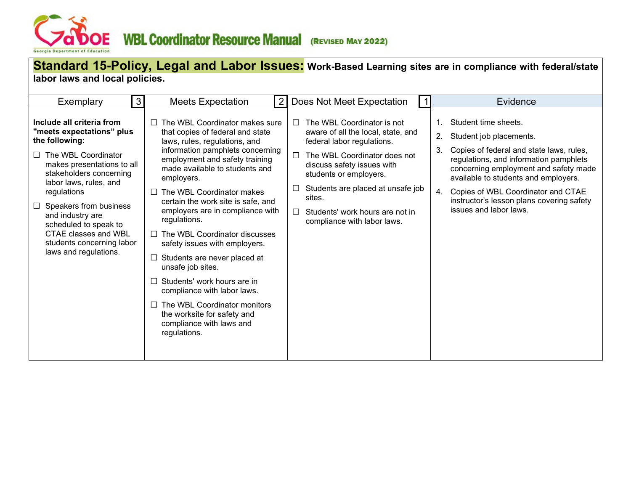<span id="page-15-0"></span>

## **Standard 15-Policy, Legal and Labor Issues: Work-Based Learning sites are in compliance with federal/state labor laws and local policies.**

| Exemplary                                                                                                                                                                                                                                                                                                                                                        | $\mathbf{3}$ | <b>Meets Expectation</b>                                                                                                                                                                                                                                                                                                                                                                                                                                                                                                                                                                                                                                                                   | Does Not Meet Expectation                                                                                                                                                                                                                                                                                                   | Evidence                                                                                                                                                                                                                                                                                                                                                                |
|------------------------------------------------------------------------------------------------------------------------------------------------------------------------------------------------------------------------------------------------------------------------------------------------------------------------------------------------------------------|--------------|--------------------------------------------------------------------------------------------------------------------------------------------------------------------------------------------------------------------------------------------------------------------------------------------------------------------------------------------------------------------------------------------------------------------------------------------------------------------------------------------------------------------------------------------------------------------------------------------------------------------------------------------------------------------------------------------|-----------------------------------------------------------------------------------------------------------------------------------------------------------------------------------------------------------------------------------------------------------------------------------------------------------------------------|-------------------------------------------------------------------------------------------------------------------------------------------------------------------------------------------------------------------------------------------------------------------------------------------------------------------------------------------------------------------------|
| Include all criteria from<br>'meets expectations" plus<br>the following:<br>The WBL Coordinator<br>$\Box$<br>makes presentations to all<br>stakeholders concerning<br>labor laws, rules, and<br>regulations<br>Speakers from business<br>and industry are<br>scheduled to speak to<br>CTAE classes and WBL<br>students concerning labor<br>laws and regulations. |              | $\Box$ The WBL Coordinator makes sure<br>that copies of federal and state<br>laws, rules, regulations, and<br>information pamphlets concerning<br>employment and safety training<br>made available to students and<br>employers.<br>$\Box$ The WBL Coordinator makes<br>certain the work site is safe, and<br>employers are in compliance with<br>regulations.<br>$\Box$ The WBL Coordinator discusses<br>safety issues with employers.<br>$\Box$ Students are never placed at<br>unsafe job sites.<br>$\Box$ Students' work hours are in<br>compliance with labor laws.<br>$\Box$ The WBL Coordinator monitors<br>the worksite for safety and<br>compliance with laws and<br>regulations. | The WBL Coordinator is not<br>$\Box$<br>aware of all the local, state, and<br>federal labor regulations.<br>The WBL Coordinator does not<br>$\Box$<br>discuss safety issues with<br>students or employers.<br>Students are placed at unsafe job<br>sites.<br>Students' work hours are not in<br>compliance with labor laws. | Student time sheets.<br>$\mathbf{1}$ .<br>Student job placements.<br>2.<br>3.<br>Copies of federal and state laws, rules,<br>regulations, and information pamphlets<br>concerning employment and safety made<br>available to students and employers.<br>Copies of WBL Coordinator and CTAE<br>4.<br>instructor's lesson plans covering safety<br>issues and labor laws. |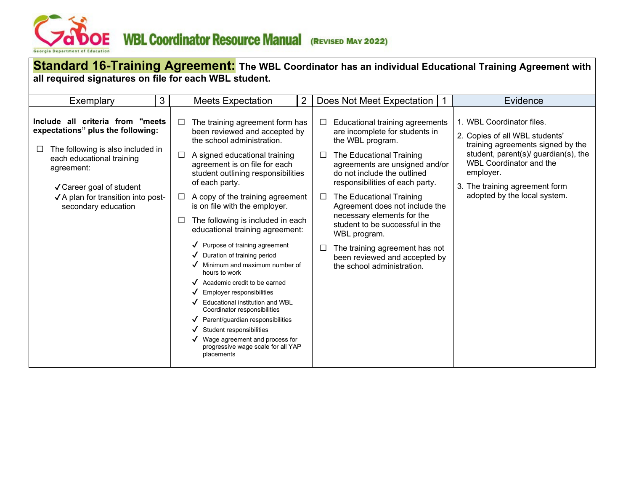<span id="page-16-0"></span>

| all required signatures on file for each WBL student.                                                                                                                                                                                                                                 |                                                                                                                                                                                                                                                                                                                                                                                                                                                              | Standard 16-Training Agreement: The WBL Coordinator has an individual Educational Training Agreement with                                                                                                                                                                                                                                                                                                 |                                                                                                                                                                                                                                                                       |
|---------------------------------------------------------------------------------------------------------------------------------------------------------------------------------------------------------------------------------------------------------------------------------------|--------------------------------------------------------------------------------------------------------------------------------------------------------------------------------------------------------------------------------------------------------------------------------------------------------------------------------------------------------------------------------------------------------------------------------------------------------------|-----------------------------------------------------------------------------------------------------------------------------------------------------------------------------------------------------------------------------------------------------------------------------------------------------------------------------------------------------------------------------------------------------------|-----------------------------------------------------------------------------------------------------------------------------------------------------------------------------------------------------------------------------------------------------------------------|
| $\mathbf{3}$<br>Exemplary<br>Include all criteria from "meets<br>expectations" plus the following:<br>The following is also included in<br>$\Box$<br>each educational training<br>agreement:<br>√ Career goal of student<br>√ A plan for transition into post-<br>secondary education | <b>Meets Expectation</b><br>2<br>The training agreement form has<br>$\Box$<br>been reviewed and accepted by<br>the school administration.<br>A signed educational training<br>□<br>agreement is on file for each<br>student outlining responsibilities<br>of each party.<br>A copy of the training agreement<br>$\Box$<br>is on file with the employer.<br>The following is included in each<br>⊔                                                            | Does Not Meet Expectation   1<br>Educational training agreements<br>are incomplete for students in<br>the WBL program.<br>The Educational Training<br>$\Box$<br>agreements are unsigned and/or<br>do not include the outlined<br>responsibilities of each party.<br>The Educational Training<br>$\Box$<br>Agreement does not include the<br>necessary elements for the<br>student to be successful in the | Evidence<br>1. WBL Coordinator files.<br>2. Copies of all WBL students'<br>training agreements signed by the<br>student, parent(s)/ guardian(s), the<br><b>WBL Coordinator and the</b><br>employer.<br>3. The training agreement form<br>adopted by the local system. |
|                                                                                                                                                                                                                                                                                       | educational training agreement:<br>$\sqrt{\phantom{a}}$ Purpose of training agreement<br>Duration of training period<br>Minimum and maximum number of<br>hours to work<br>Academic credit to be earned<br>Employer responsibilities<br>Educational institution and WBL<br>Coordinator responsibilities<br>Parent/guardian responsibilities<br>Student responsibilities<br>Wage agreement and process for<br>progressive wage scale for all YAP<br>placements | WBL program.<br>The training agreement has not<br>been reviewed and accepted by<br>the school administration.                                                                                                                                                                                                                                                                                             |                                                                                                                                                                                                                                                                       |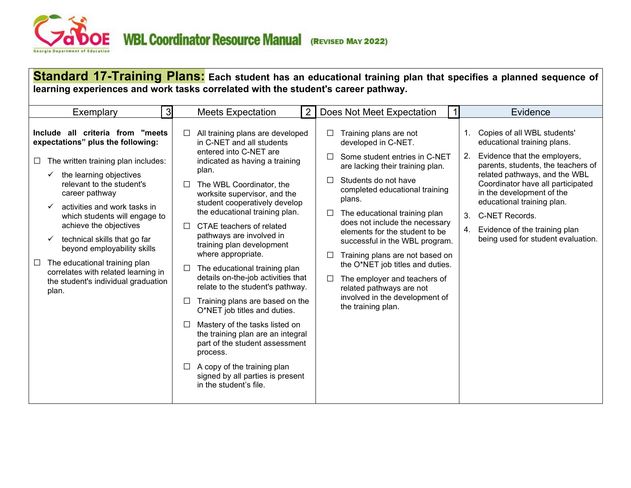<span id="page-17-0"></span>

**Standard 17-Training Plans: Each student has an educational training plan that specifies a planned sequence of learning experiences and work tasks correlated with the student's career pathway.**

| 3 <sup>l</sup><br>Exemplary                                                                                                                                                                                                                                                                                                                                                                                                                                                                   |                                                               | <b>Meets Expectation</b>                                                                                                                                                                                                                                                                                                                                                                                                                                                                                                                                                                                                                                                                                                                                                     | 2 | Does Not Meet Expectation                                                                                                                                                                                                                                                                                                                                                                                                                                                                                                                               |                           | Evidence                                                                                                                                                                                                                                                                                                                                                   |
|-----------------------------------------------------------------------------------------------------------------------------------------------------------------------------------------------------------------------------------------------------------------------------------------------------------------------------------------------------------------------------------------------------------------------------------------------------------------------------------------------|---------------------------------------------------------------|------------------------------------------------------------------------------------------------------------------------------------------------------------------------------------------------------------------------------------------------------------------------------------------------------------------------------------------------------------------------------------------------------------------------------------------------------------------------------------------------------------------------------------------------------------------------------------------------------------------------------------------------------------------------------------------------------------------------------------------------------------------------------|---|---------------------------------------------------------------------------------------------------------------------------------------------------------------------------------------------------------------------------------------------------------------------------------------------------------------------------------------------------------------------------------------------------------------------------------------------------------------------------------------------------------------------------------------------------------|---------------------------|------------------------------------------------------------------------------------------------------------------------------------------------------------------------------------------------------------------------------------------------------------------------------------------------------------------------------------------------------------|
| Include all criteria from "meets"<br>expectations" plus the following:<br>The written training plan includes:<br>ப<br>the learning objectives<br>✓<br>relevant to the student's<br>career pathway<br>activities and work tasks in<br>✓<br>which students will engage to<br>achieve the objectives<br>technical skills that go far<br>✓<br>beyond employability skills<br>The educational training plan<br>correlates with related learning in<br>the student's individual graduation<br>plan. | $\Box$<br>$\Box$<br>$\Box$<br>$\Box$<br>$\Box$<br>П<br>$\Box$ | All training plans are developed<br>in C-NET and all students<br>entered into C-NET are<br>indicated as having a training<br>plan.<br>The WBL Coordinator, the<br>worksite supervisor, and the<br>student cooperatively develop<br>the educational training plan.<br>CTAE teachers of related<br>pathways are involved in<br>training plan development<br>where appropriate.<br>The educational training plan<br>details on-the-job activities that<br>relate to the student's pathway.<br>Training plans are based on the<br>O*NET job titles and duties.<br>Mastery of the tasks listed on<br>the training plan are an integral<br>part of the student assessment<br>process.<br>A copy of the training plan<br>signed by all parties is present<br>in the student's file. |   | Training plans are not<br>developed in C-NET.<br>Some student entries in C-NET<br>are lacking their training plan.<br>Students do not have<br>$\mathsf{L}$<br>completed educational training<br>plans.<br>The educational training plan<br>⊔<br>does not include the necessary<br>elements for the student to be<br>successful in the WBL program.<br>Training plans are not based on<br>⊔<br>the O*NET job titles and duties.<br>The employer and teachers of<br>⊔<br>related pathways are not<br>involved in the development of<br>the training plan. | $1_{-}$<br>2.<br>3.<br>4. | Copies of all WBL students'<br>educational training plans.<br>Evidence that the employers,<br>parents, students, the teachers of<br>related pathways, and the WBL<br>Coordinator have all participated<br>in the development of the<br>educational training plan.<br>C-NET Records.<br>Evidence of the training plan<br>being used for student evaluation. |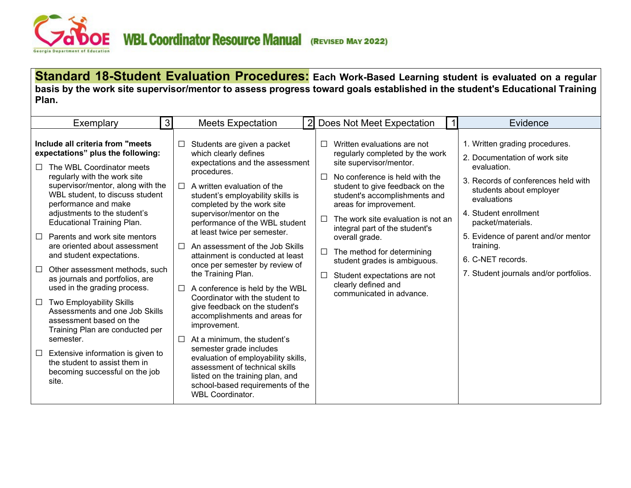<span id="page-18-0"></span>

**Standard 18-Student Evaluation Procedures: Each Work-Based Learning student is evaluated on a regular basis by the work site supervisor/mentor to assess progress toward goals established in the student's Educational Training Plan.**

| Exemplary                                                                                                                                                                                                                                                                                                                                                                                                                                                                                                                                                                                 | $\lvert 3 \rvert$ | <b>Meets Expectation</b>                                                                                                                                                                                                                                                                                                                                                                                                                                                                                                                                                       | $\overline{2}$             | Does Not Meet Expectation                                                                                                                                                                                                                                                                                                                                                                                                                                            | Evidence                                                                                                                                                                                                                                                                                                                         |
|-------------------------------------------------------------------------------------------------------------------------------------------------------------------------------------------------------------------------------------------------------------------------------------------------------------------------------------------------------------------------------------------------------------------------------------------------------------------------------------------------------------------------------------------------------------------------------------------|-------------------|--------------------------------------------------------------------------------------------------------------------------------------------------------------------------------------------------------------------------------------------------------------------------------------------------------------------------------------------------------------------------------------------------------------------------------------------------------------------------------------------------------------------------------------------------------------------------------|----------------------------|----------------------------------------------------------------------------------------------------------------------------------------------------------------------------------------------------------------------------------------------------------------------------------------------------------------------------------------------------------------------------------------------------------------------------------------------------------------------|----------------------------------------------------------------------------------------------------------------------------------------------------------------------------------------------------------------------------------------------------------------------------------------------------------------------------------|
| Include all criteria from "meets"<br>expectations" plus the following:<br>The WBL Coordinator meets<br>Л<br>regularly with the work site<br>supervisor/mentor, along with the<br>WBL student, to discuss student<br>performance and make<br>adjustments to the student's<br><b>Educational Training Plan.</b><br>Parents and work site mentors<br>are oriented about assessment<br>and student expectations.<br>Other assessment methods, such<br>as journals and portfolios, are<br>used in the grading process.<br>Two Employability Skills<br>$\Box$<br>Assessments and one Job Skills | $\Box$<br>⊔<br>⊔  | Students are given a packet<br>which clearly defines<br>expectations and the assessment<br>procedures.<br>A written evaluation of the<br>student's employability skills is<br>completed by the work site<br>supervisor/mentor on the<br>performance of the WBL student<br>at least twice per semester.<br>An assessment of the Job Skills<br>attainment is conducted at least<br>once per semester by review of<br>the Training Plan.<br>A conference is held by the WBL<br>Coordinator with the student to<br>give feedback on the student's<br>accomplishments and areas for | П<br>П<br>П<br>$\Box$<br>□ | Written evaluations are not<br>regularly completed by the work<br>site supervisor/mentor.<br>No conference is held with the<br>student to give feedback on the<br>student's accomplishments and<br>areas for improvement.<br>The work site evaluation is not an<br>integral part of the student's<br>overall grade.<br>The method for determining<br>student grades is ambiguous.<br>Student expectations are not<br>clearly defined and<br>communicated in advance. | 1. Written grading procedures.<br>2. Documentation of work site<br>evaluation.<br>3. Records of conferences held with<br>students about employer<br>evaluations<br>4. Student enrollment<br>packet/materials.<br>5. Evidence of parent and/or mentor<br>training.<br>6. C-NET records.<br>7. Student journals and/or portfolios. |
| assessment based on the<br>Training Plan are conducted per<br>semester.<br>Extensive information is given to<br>⊔<br>the student to assist them in<br>becoming successful on the job<br>site.                                                                                                                                                                                                                                                                                                                                                                                             |                   | improvement.<br>At a minimum, the student's<br>semester grade includes<br>evaluation of employability skills,<br>assessment of technical skills<br>listed on the training plan, and<br>school-based requirements of the<br><b>WBL Coordinator.</b>                                                                                                                                                                                                                                                                                                                             |                            |                                                                                                                                                                                                                                                                                                                                                                                                                                                                      |                                                                                                                                                                                                                                                                                                                                  |
|                                                                                                                                                                                                                                                                                                                                                                                                                                                                                                                                                                                           |                   |                                                                                                                                                                                                                                                                                                                                                                                                                                                                                                                                                                                |                            |                                                                                                                                                                                                                                                                                                                                                                                                                                                                      |                                                                                                                                                                                                                                                                                                                                  |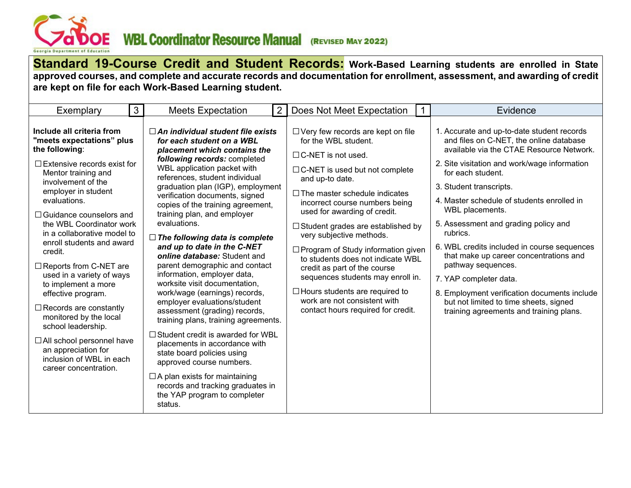<span id="page-19-0"></span>

**Standard 19-Course Credit and Student Records: Work-Based Learning students are enrolled in State approved courses, and complete and accurate records and documentation for enrollment, assessment, and awarding of credit are kept on file for each Work-Based Learning student.** 

| Exemplary                                                                                                                                                                                                                                                                                                                                                                                                                                                                                                                                                                                                                                      | $\mathbf{3}$ | <b>Meets Expectation</b>                                                                                                                                                                                                                                                                                                                                                                                                                                                                                                                                                                                                                                                                                                                                                                                                                                                                                                                                                             | $\overline{2}$ | Does Not Meet Expectation                                                                                                                                                                                                                                                                                                                                                                                                                                                                                                                                                                                    | Evidence                                                                                                                                                                                                                                                                                                                                                                                                                                                                                                                                                                                                                             |
|------------------------------------------------------------------------------------------------------------------------------------------------------------------------------------------------------------------------------------------------------------------------------------------------------------------------------------------------------------------------------------------------------------------------------------------------------------------------------------------------------------------------------------------------------------------------------------------------------------------------------------------------|--------------|--------------------------------------------------------------------------------------------------------------------------------------------------------------------------------------------------------------------------------------------------------------------------------------------------------------------------------------------------------------------------------------------------------------------------------------------------------------------------------------------------------------------------------------------------------------------------------------------------------------------------------------------------------------------------------------------------------------------------------------------------------------------------------------------------------------------------------------------------------------------------------------------------------------------------------------------------------------------------------------|----------------|--------------------------------------------------------------------------------------------------------------------------------------------------------------------------------------------------------------------------------------------------------------------------------------------------------------------------------------------------------------------------------------------------------------------------------------------------------------------------------------------------------------------------------------------------------------------------------------------------------------|--------------------------------------------------------------------------------------------------------------------------------------------------------------------------------------------------------------------------------------------------------------------------------------------------------------------------------------------------------------------------------------------------------------------------------------------------------------------------------------------------------------------------------------------------------------------------------------------------------------------------------------|
| Include all criteria from<br>"meets expectations" plus<br>the following:<br>$\Box$ Extensive records exist for<br>Mentor training and<br>involvement of the<br>employer in student<br>evaluations.<br>$\Box$ Guidance counselors and<br>the WBL Coordinator work<br>in a collaborative model to<br>enroll students and award<br>credit.<br>□ Reports from C-NET are<br>used in a variety of ways<br>to implement a more<br>effective program.<br>$\Box$ Records are constantly<br>monitored by the local<br>school leadership.<br>$\Box$ All school personnel have<br>an appreciation for<br>inclusion of WBL in each<br>career concentration. |              | $\Box$ An individual student file exists<br>for each student on a WBL<br>placement which contains the<br>following records: completed<br>WBL application packet with<br>references, student individual<br>graduation plan (IGP), employment<br>verification documents, signed<br>copies of the training agreement,<br>training plan, and employer<br>evaluations.<br>$\Box$ The following data is complete<br>and up to date in the C-NET<br>online database: Student and<br>parent demographic and contact<br>information, employer data,<br>worksite visit documentation,<br>work/wage (earnings) records,<br>employer evaluations/student<br>assessment (grading) records,<br>training plans, training agreements.<br>$\Box$ Student credit is awarded for WBL<br>placements in accordance with<br>state board policies using<br>approved course numbers.<br>$\Box$ A plan exists for maintaining<br>records and tracking graduates in<br>the YAP program to completer<br>status. |                | $\Box$ Very few records are kept on file<br>for the WBL student.<br>$\Box$ C-NET is not used.<br>□ C-NET is used but not complete<br>and up-to date.<br>$\Box$ The master schedule indicates<br>incorrect course numbers being<br>used for awarding of credit.<br>$\Box$ Student grades are established by<br>very subjective methods.<br>$\Box$ Program of Study information given<br>to students does not indicate WBL<br>credit as part of the course<br>sequences students may enroll in.<br>$\Box$ Hours students are required to<br>work are not consistent with<br>contact hours required for credit. | 1. Accurate and up-to-date student records<br>and files on C-NET, the online database<br>available via the CTAE Resource Network.<br>2. Site visitation and work/wage information<br>for each student.<br>3. Student transcripts.<br>4. Master schedule of students enrolled in<br>WBL placements.<br>5. Assessment and grading policy and<br>rubrics.<br>6. WBL credits included in course sequences<br>that make up career concentrations and<br>pathway sequences.<br>7. YAP completer data.<br>8. Employment verification documents include<br>but not limited to time sheets, signed<br>training agreements and training plans. |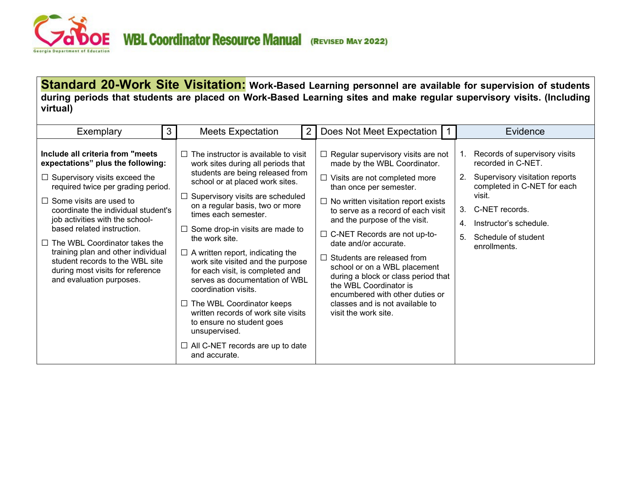<span id="page-20-0"></span>

### **Standard 20-Work Site Visitation: Work-Based Learning personnel are available for supervision of students during periods that students are placed on Work-Based Learning sites and make regular supervisory visits. (Including virtual)**

| Exemplary                                                                                                                                                                                                                                                                                                                                                                                                                                                                       | 3 | <b>Meets Expectation</b>                                                                                                                                                                                                                                                                                                                                                                                                                                                                                                                                                                                                                                                 | $\overline{2}$ | Does Not Meet Expectation                                                                                                                                                                                                                                                                                                                                                                                                                                                                                                                                             |                                        | Evidence                                                                                                                                                                                                          |
|---------------------------------------------------------------------------------------------------------------------------------------------------------------------------------------------------------------------------------------------------------------------------------------------------------------------------------------------------------------------------------------------------------------------------------------------------------------------------------|---|--------------------------------------------------------------------------------------------------------------------------------------------------------------------------------------------------------------------------------------------------------------------------------------------------------------------------------------------------------------------------------------------------------------------------------------------------------------------------------------------------------------------------------------------------------------------------------------------------------------------------------------------------------------------------|----------------|-----------------------------------------------------------------------------------------------------------------------------------------------------------------------------------------------------------------------------------------------------------------------------------------------------------------------------------------------------------------------------------------------------------------------------------------------------------------------------------------------------------------------------------------------------------------------|----------------------------------------|-------------------------------------------------------------------------------------------------------------------------------------------------------------------------------------------------------------------|
| Include all criteria from "meets"<br>expectations" plus the following:<br>$\Box$ Supervisory visits exceed the<br>required twice per grading period.<br>$\Box$ Some visits are used to<br>coordinate the individual student's<br>job activities with the school-<br>based related instruction.<br>$\Box$ The WBL Coordinator takes the<br>training plan and other individual<br>student records to the WBL site<br>during most visits for reference<br>and evaluation purposes. |   | The instructor is available to visit<br>work sites during all periods that<br>students are being released from<br>school or at placed work sites.<br>Supervisory visits are scheduled<br>on a regular basis, two or more<br>times each semester.<br>Some drop-in visits are made to<br>the work site.<br>$\Box$ A written report, indicating the<br>work site visited and the purpose<br>for each visit, is completed and<br>serves as documentation of WBL<br>coordination visits.<br>$\Box$ The WBL Coordinator keeps<br>written records of work site visits<br>to ensure no student goes<br>unsupervised.<br>$\Box$ All C-NET records are up to date<br>and accurate. |                | $\Box$ Regular supervisory visits are not<br>made by the WBL Coordinator.<br>$\Box$ Visits are not completed more<br>than once per semester.<br>$\Box$ No written visitation report exists<br>to serve as a record of each visit<br>and the purpose of the visit.<br>$\Box$ C-NET Records are not up-to-<br>date and/or accurate.<br>$\Box$ Students are released from<br>school or on a WBL placement<br>during a block or class period that<br>the WBL Coordinator is<br>encumbered with other duties or<br>classes and is not available to<br>visit the work site. | 1.<br>2.<br>3.<br>4 <sup>1</sup><br>5. | Records of supervisory visits<br>recorded in C-NET.<br>Supervisory visitation reports<br>completed in C-NET for each<br>visit.<br>C-NET records.<br>Instructor's schedule.<br>Schedule of student<br>enrollments. |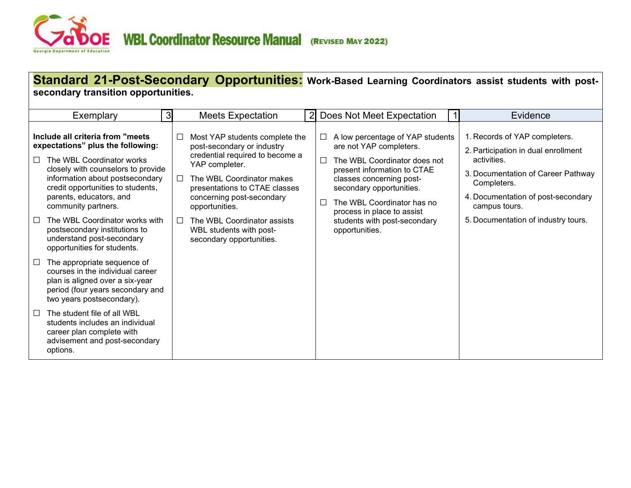

|                  | secondary transition opportunities.                                                                                                                                                                                                                                                                                                                                 |                  |                                                                                                                                                                                                                                                                                                                      |                |                                                                                                                                                                                                                                                                                                  | Standard 21-Post-Secondary Opportunities: Work-Based Learning Coordinators assist students with post-                                                                                                                                  |
|------------------|---------------------------------------------------------------------------------------------------------------------------------------------------------------------------------------------------------------------------------------------------------------------------------------------------------------------------------------------------------------------|------------------|----------------------------------------------------------------------------------------------------------------------------------------------------------------------------------------------------------------------------------------------------------------------------------------------------------------------|----------------|--------------------------------------------------------------------------------------------------------------------------------------------------------------------------------------------------------------------------------------------------------------------------------------------------|----------------------------------------------------------------------------------------------------------------------------------------------------------------------------------------------------------------------------------------|
|                  | Exemplary                                                                                                                                                                                                                                                                                                                                                           | 3 <sup>l</sup>   | <b>Meets Expectation</b>                                                                                                                                                                                                                                                                                             | $\overline{2}$ | Does Not Meet Expectation                                                                                                                                                                                                                                                                        | Evidence                                                                                                                                                                                                                               |
| $\Box$<br>$\Box$ | Include all criteria from "meets"<br>expectations" plus the following:<br>The WBL Coordinator works<br>closely with counselors to provide<br>information about postsecondary<br>credit opportunities to students,<br>parents, educators, and<br>community partners.<br>The WBL Coordinator works with<br>postsecondary institutions to<br>understand post-secondary | ப<br>$\Box$<br>П | Most YAP students complete the<br>post-secondary or industry<br>credential required to become a<br>YAP completer.<br>The WBL Coordinator makes<br>presentations to CTAE classes<br>concerning post-secondary<br>opportunities.<br>The WBL Coordinator assists<br>WBL students with post-<br>secondary opportunities. | $\Box$         | A low percentage of YAP students<br>are not YAP completers.<br>The WBL Coordinator does not<br>present information to CTAE<br>classes concerning post-<br>secondary opportunities.<br>The WBL Coordinator has no<br>process in place to assist<br>students with post-secondary<br>opportunities. | 1. Records of YAP completers.<br>2. Participation in dual enrollment<br>activities.<br>3. Documentation of Career Pathway<br>Completers.<br>4. Documentation of post-secondary<br>campus tours.<br>5. Documentation of industry tours. |
| $\Box$<br>$\Box$ | opportunities for students.<br>The appropriate sequence of<br>courses in the individual career<br>plan is aligned over a six-year<br>period (four years secondary and<br>two years postsecondary).<br>The student file of all WBL<br>students includes an individual<br>career plan complete with<br>advisement and post-secondary<br>options.                      |                  |                                                                                                                                                                                                                                                                                                                      |                |                                                                                                                                                                                                                                                                                                  |                                                                                                                                                                                                                                        |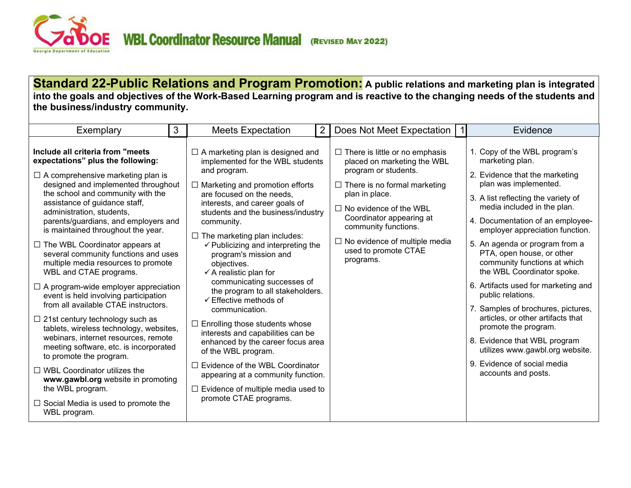<span id="page-22-0"></span>

**Standard 22-Public Relations and Program Promotion: A public relations and marketing plan is integrated into the goals and objectives of the Work-Based Learning program and is reactive to the changing needs of the students and the business/industry community.**

| 3<br>Exemplary                                                                                                                                                                                                                                                                                                                                                                                                                                                                                                                                                                                                                                                                                                                                                                                                                                                                                                                                                                               | $\overline{2}$<br><b>Meets Expectation</b>                                                                                                                                                                                                                                                                                                                                                                                                                                                                                                                                                                                                                                                                                                                                                                                                              | Does Not Meet Expectation                                                                                                                                                                                                                                                                                               | Evidence                                                                                                                                                                                                                                                                                                                                                                                                                                                                                                                                                                                                                                                                     |
|----------------------------------------------------------------------------------------------------------------------------------------------------------------------------------------------------------------------------------------------------------------------------------------------------------------------------------------------------------------------------------------------------------------------------------------------------------------------------------------------------------------------------------------------------------------------------------------------------------------------------------------------------------------------------------------------------------------------------------------------------------------------------------------------------------------------------------------------------------------------------------------------------------------------------------------------------------------------------------------------|---------------------------------------------------------------------------------------------------------------------------------------------------------------------------------------------------------------------------------------------------------------------------------------------------------------------------------------------------------------------------------------------------------------------------------------------------------------------------------------------------------------------------------------------------------------------------------------------------------------------------------------------------------------------------------------------------------------------------------------------------------------------------------------------------------------------------------------------------------|-------------------------------------------------------------------------------------------------------------------------------------------------------------------------------------------------------------------------------------------------------------------------------------------------------------------------|------------------------------------------------------------------------------------------------------------------------------------------------------------------------------------------------------------------------------------------------------------------------------------------------------------------------------------------------------------------------------------------------------------------------------------------------------------------------------------------------------------------------------------------------------------------------------------------------------------------------------------------------------------------------------|
| Include all criteria from "meets<br>expectations" plus the following:<br>$\Box$ A comprehensive marketing plan is<br>designed and implemented throughout<br>the school and community with the<br>assistance of guidance staff,<br>administration, students,<br>parents/guardians, and employers and<br>is maintained throughout the year.<br>$\Box$ The WBL Coordinator appears at<br>several community functions and uses<br>multiple media resources to promote<br>WBL and CTAE programs.<br>$\Box$ A program-wide employer appreciation<br>event is held involving participation<br>from all available CTAE instructors.<br>$\Box$ 21st century technology such as<br>tablets, wireless technology, websites,<br>webinars, internet resources, remote<br>meeting software, etc. is incorporated<br>to promote the program.<br>$\Box$ WBL Coordinator utilizes the<br>www.gawbl.org website in promoting<br>the WBL program.<br>$\Box$ Social Media is used to promote the<br>WBL program. | $\Box$ A marketing plan is designed and<br>implemented for the WBL students<br>and program.<br>$\Box$ Marketing and promotion efforts<br>are focused on the needs,<br>interests, and career goals of<br>students and the business/industry<br>community.<br>$\Box$ The marketing plan includes:<br>$\checkmark$ Publicizing and interpreting the<br>program's mission and<br>objectives.<br>$\checkmark$ A realistic plan for<br>communicating successes of<br>the program to all stakeholders.<br>$\checkmark$ Effective methods of<br>communication.<br>$\Box$ Enrolling those students whose<br>interests and capabilities can be<br>enhanced by the career focus area<br>of the WBL program.<br>$\Box$ Evidence of the WBL Coordinator<br>appearing at a community function.<br>$\Box$ Evidence of multiple media used to<br>promote CTAE programs. | $\Box$ There is little or no emphasis<br>placed on marketing the WBL<br>program or students.<br>$\Box$ There is no formal marketing<br>plan in place.<br>$\Box$ No evidence of the WBL<br>Coordinator appearing at<br>community functions.<br>$\Box$ No evidence of multiple media<br>used to promote CTAE<br>programs. | 1. Copy of the WBL program's<br>marketing plan.<br>2. Evidence that the marketing<br>plan was implemented.<br>3. A list reflecting the variety of<br>media included in the plan.<br>4. Documentation of an employee-<br>employer appreciation function.<br>5. An agenda or program from a<br>PTA, open house, or other<br>community functions at which<br>the WBL Coordinator spoke.<br>6. Artifacts used for marketing and<br>public relations.<br>7. Samples of brochures, pictures,<br>articles, or other artifacts that<br>promote the program.<br>8. Evidence that WBL program<br>utilizes www.gawbl.org website.<br>9. Evidence of social media<br>accounts and posts. |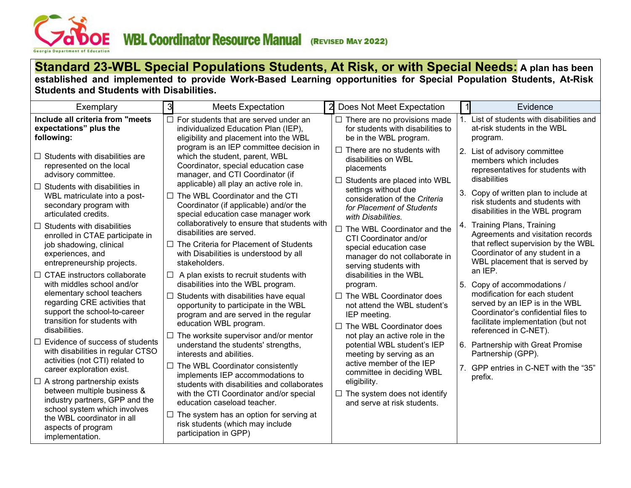

### **Standard 23-WBL Special Populations Students, At Risk, or with Special Needs: A plan has been established and implemented to provide Work-Based Learning opportunities for Special Population Students, At-Risk Students and Students with Disabilities.**

| Exemplary                                                                                                                                                                                                                                                                                                                                                    | 3<br><b>Meets Expectation</b>                                                                                                                                                                                                                                                                                                                                                                                                                                                                                      | $\overline{2}$<br>Does Not Meet Expectation                                                                                                                                                                                                                                                                                                          |         | Evidence                                                                                                                                                                                                                                                                                                                                                                                                         |
|--------------------------------------------------------------------------------------------------------------------------------------------------------------------------------------------------------------------------------------------------------------------------------------------------------------------------------------------------------------|--------------------------------------------------------------------------------------------------------------------------------------------------------------------------------------------------------------------------------------------------------------------------------------------------------------------------------------------------------------------------------------------------------------------------------------------------------------------------------------------------------------------|------------------------------------------------------------------------------------------------------------------------------------------------------------------------------------------------------------------------------------------------------------------------------------------------------------------------------------------------------|---------|------------------------------------------------------------------------------------------------------------------------------------------------------------------------------------------------------------------------------------------------------------------------------------------------------------------------------------------------------------------------------------------------------------------|
| Include all criteria from "meets<br>expectations" plus the<br>following:                                                                                                                                                                                                                                                                                     | $\Box$ For students that are served under an<br>individualized Education Plan (IEP),<br>eligibility and placement into the WBL                                                                                                                                                                                                                                                                                                                                                                                     | $\Box$ There are no provisions made<br>for students with disabilities to<br>be in the WBL program.                                                                                                                                                                                                                                                   | $1_{-}$ | List of students with disabilities and<br>at-risk students in the WBL<br>program.                                                                                                                                                                                                                                                                                                                                |
| Students with disabilities are<br>represented on the local<br>advisory committee.<br>Students with disabilities in<br>WBL matriculate into a post-<br>secondary program with<br>articulated credits.<br>Students with disabilities<br>$\Box$<br>enrolled in CTAE participate in<br>job shadowing, clinical<br>experiences, and<br>entrepreneurship projects. | program is an IEP committee decision in<br>which the student, parent, WBL<br>Coordinator, special education case<br>manager, and CTI Coordinator (if<br>applicable) all play an active role in.<br>$\Box$ The WBL Coordinator and the CTI<br>Coordinator (if applicable) and/or the<br>special education case manager work<br>collaboratively to ensure that students with<br>disabilities are served.<br>$\Box$ The Criteria for Placement of Students<br>with Disabilities is understood by all<br>stakeholders. | $\Box$ There are no students with<br>disabilities on WBL<br>placements<br>$\Box$ Students are placed into WBL<br>settings without due<br>consideration of the Criteria<br>for Placement of Students<br>with Disabilities.<br>$\Box$ The WBL Coordinator and the<br>CTI Coordinator and/or<br>special education case<br>manager do not collaborate in | 4.      | 2. List of advisory committee<br>members which includes<br>representatives for students with<br>disabilities<br>3. Copy of written plan to include at<br>risk students and students with<br>disabilities in the WBL program<br><b>Training Plans, Training</b><br>Agreements and visitation records<br>that reflect supervision by the WBL<br>Coordinator of any student in a<br>WBL placement that is served by |
| CTAE instructors collaborate<br>with middles school and/or<br>elementary school teachers<br>regarding CRE activities that<br>support the school-to-career<br>transition for students with<br>disabilities.<br>Evidence of success of students<br>with disabilities in regular CTSO<br>activities (not CTI) related to<br>career exploration exist.           | $\Box$ A plan exists to recruit students with<br>disabilities into the WBL program.<br>$\Box$ Students with disabilities have equal<br>opportunity to participate in the WBL<br>program and are served in the regular<br>education WBL program.<br>$\Box$ The worksite supervisor and/or mentor<br>understand the students' strengths,<br>interests and abilities.<br>$\Box$ The WBL Coordinator consistently                                                                                                      | serving students with<br>disabilities in the WBL<br>program.<br>$\Box$ The WBL Coordinator does<br>not attend the WBL student's<br>IEP meeting.<br>$\Box$ The WBL Coordinator does<br>not play an active role in the<br>potential WBL student's IEP<br>meeting by serving as an<br>active member of the IEP<br>committee in deciding WBL             |         | an IEP.<br>5. Copy of accommodations /<br>modification for each student<br>served by an IEP is in the WBL<br>Coordinator's confidential files to<br>facilitate implementation (but not<br>referenced in C-NET).<br>6. Partnership with Great Promise<br>Partnership (GPP).<br>7. GPP entries in C-NET with the "35"                                                                                              |
| $\Box$ A strong partnership exists<br>between multiple business &<br>industry partners, GPP and the<br>school system which involves<br>the WBL coordinator in all<br>aspects of program<br>implementation.                                                                                                                                                   | implements IEP accommodations to<br>students with disabilities and collaborates<br>with the CTI Coordinator and/or special<br>education caseload teacher.<br>$\Box$ The system has an option for serving at<br>risk students (which may include<br>participation in GPP)                                                                                                                                                                                                                                           | eligibility.<br>$\Box$ The system does not identify<br>and serve at risk students.                                                                                                                                                                                                                                                                   |         | prefix.                                                                                                                                                                                                                                                                                                                                                                                                          |